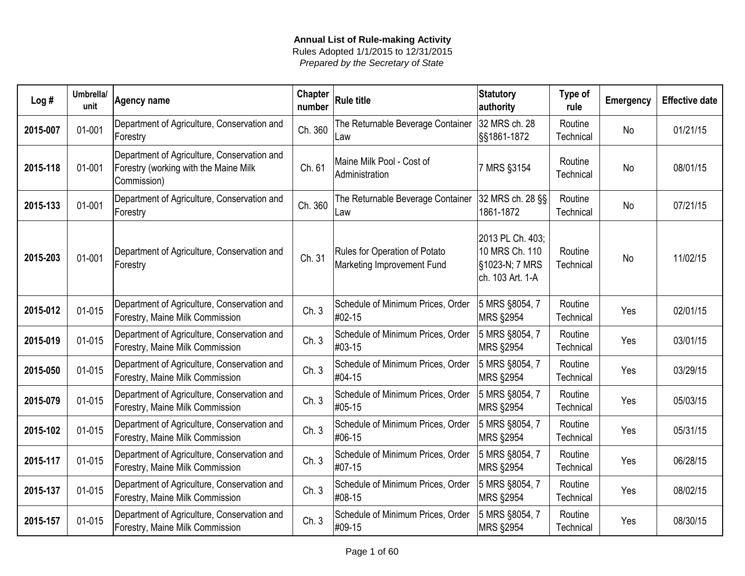| Log#     | Umbrella/<br>unit | Agency name                                                                                         | <b>Chapter</b><br>number | <b>Rule title</b>                                           | <b>Statutory</b><br>authority                                            | Type of<br>rule      | <b>Emergency</b> | <b>Effective date</b> |
|----------|-------------------|-----------------------------------------------------------------------------------------------------|--------------------------|-------------------------------------------------------------|--------------------------------------------------------------------------|----------------------|------------------|-----------------------|
| 2015-007 | 01-001            | Department of Agriculture, Conservation and<br>Forestry                                             | Ch. 360                  | The Returnable Beverage Container<br>Law                    | 32 MRS ch. 28<br>§§1861-1872                                             | Routine<br>Technical | No               | 01/21/15              |
| 2015-118 | 01-001            | Department of Agriculture, Conservation and<br>Forestry (working with the Maine Milk<br>Commission) | Ch. 61                   | Maine Milk Pool - Cost of<br>Administration                 | 7 MRS §3154                                                              | Routine<br>Technical | <b>No</b>        | 08/01/15              |
| 2015-133 | 01-001            | Department of Agriculture, Conservation and<br>Forestry                                             | Ch. 360                  | The Returnable Beverage Container<br>Law                    | 32 MRS ch. 28 §§<br>1861-1872                                            | Routine<br>Technical | <b>No</b>        | 07/21/15              |
| 2015-203 | 01-001            | Department of Agriculture, Conservation and<br>Forestry                                             | Ch. 31                   | Rules for Operation of Potato<br>Marketing Improvement Fund | 2013 PL Ch. 403;<br>10 MRS Ch. 110<br>§1023-N; 7 MRS<br>ch. 103 Art. 1-A | Routine<br>Technical | <b>No</b>        | 11/02/15              |
| 2015-012 | 01-015            | Department of Agriculture, Conservation and<br>Forestry, Maine Milk Commission                      | Ch.3                     | Schedule of Minimum Prices, Order<br>#02-15                 | 5 MRS §8054, 7<br><b>MRS §2954</b>                                       | Routine<br>Technical | Yes              | 02/01/15              |
| 2015-019 | 01-015            | Department of Agriculture, Conservation and<br>Forestry, Maine Milk Commission                      | Ch.3                     | Schedule of Minimum Prices, Order<br>#03-15                 | 5 MRS §8054, 7<br><b>MRS §2954</b>                                       | Routine<br>Technical | Yes              | 03/01/15              |
| 2015-050 | 01-015            | Department of Agriculture, Conservation and<br>Forestry, Maine Milk Commission                      | Ch.3                     | Schedule of Minimum Prices, Order<br>#04-15                 | 5 MRS §8054, 7<br><b>MRS §2954</b>                                       | Routine<br>Technical | Yes              | 03/29/15              |
| 2015-079 | 01-015            | Department of Agriculture, Conservation and<br>Forestry, Maine Milk Commission                      | Ch.3                     | Schedule of Minimum Prices, Order<br>#05-15                 | 5 MRS §8054, 7<br><b>MRS §2954</b>                                       | Routine<br>Technical | Yes              | 05/03/15              |
| 2015-102 | 01-015            | Department of Agriculture, Conservation and<br>Forestry, Maine Milk Commission                      | Ch.3                     | Schedule of Minimum Prices, Order<br>#06-15                 | 5 MRS §8054, 7<br><b>MRS §2954</b>                                       | Routine<br>Technical | Yes              | 05/31/15              |
| 2015-117 | 01-015            | Department of Agriculture, Conservation and<br>Forestry, Maine Milk Commission                      | Ch.3                     | Schedule of Minimum Prices, Order<br>#07-15                 | 5 MRS §8054, 7<br><b>MRS §2954</b>                                       | Routine<br>Technical | Yes              | 06/28/15              |
| 2015-137 | 01-015            | Department of Agriculture, Conservation and<br>Forestry, Maine Milk Commission                      | Ch.3                     | Schedule of Minimum Prices, Order<br>#08-15                 | 5 MRS §8054, 7<br><b>MRS §2954</b>                                       | Routine<br>Technical | Yes              | 08/02/15              |
| 2015-157 | 01-015            | Department of Agriculture, Conservation and<br>Forestry, Maine Milk Commission                      | Ch.3                     | Schedule of Minimum Prices, Order<br>#09-15                 | 5 MRS §8054, 7<br><b>MRS §2954</b>                                       | Routine<br>Technical | Yes              | 08/30/15              |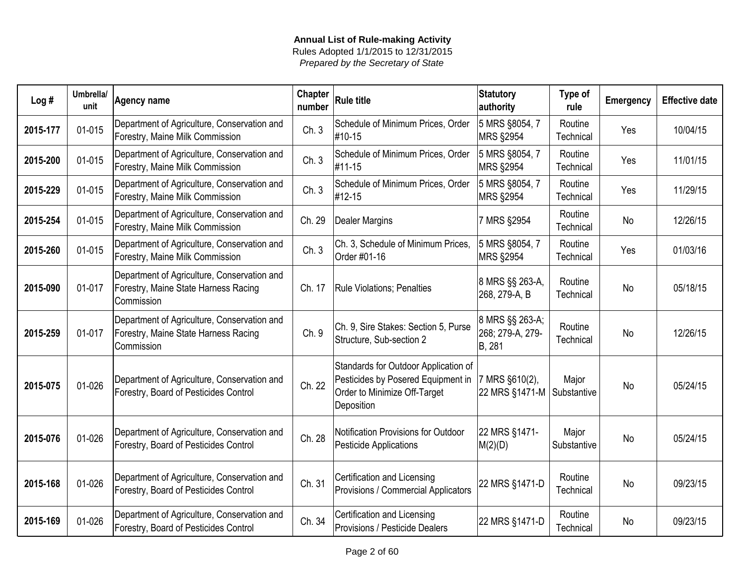| Log#     | Umbrella/<br>unit | Agency name                                                                                       | <b>Chapter</b><br>number | <b>Rule title</b>                                                                                                        | <b>Statutory</b><br>authority                 | Type of<br>rule      | <b>Emergency</b> | <b>Effective date</b> |
|----------|-------------------|---------------------------------------------------------------------------------------------------|--------------------------|--------------------------------------------------------------------------------------------------------------------------|-----------------------------------------------|----------------------|------------------|-----------------------|
| 2015-177 | 01-015            | Department of Agriculture, Conservation and<br>Forestry, Maine Milk Commission                    | Ch.3                     | Schedule of Minimum Prices, Order<br>#10-15                                                                              | 5 MRS §8054, 7<br>MRS §2954                   | Routine<br>Technical | Yes              | 10/04/15              |
| 2015-200 | 01-015            | Department of Agriculture, Conservation and<br>Forestry, Maine Milk Commission                    | Ch.3                     | Schedule of Minimum Prices, Order<br>#11-15                                                                              | 5 MRS §8054, 7<br>MRS §2954                   | Routine<br>Technical | Yes              | 11/01/15              |
| 2015-229 | 01-015            | Department of Agriculture, Conservation and<br>Forestry, Maine Milk Commission                    | Ch.3                     | Schedule of Minimum Prices, Order<br>#12-15                                                                              | 5 MRS §8054, 7<br><b>MRS §2954</b>            | Routine<br>Technical | Yes              | 11/29/15              |
| 2015-254 | 01-015            | Department of Agriculture, Conservation and<br>Forestry, Maine Milk Commission                    | Ch. 29                   | <b>Dealer Margins</b>                                                                                                    | 7 MRS §2954                                   | Routine<br>Technical | No               | 12/26/15              |
| 2015-260 | 01-015            | Department of Agriculture, Conservation and<br>Forestry, Maine Milk Commission                    | Ch.3                     | Ch. 3, Schedule of Minimum Prices,<br>Order #01-16                                                                       | 5 MRS §8054, 7<br><b>MRS §2954</b>            | Routine<br>Technical | Yes              | 01/03/16              |
| 2015-090 | 01-017            | Department of Agriculture, Conservation and<br>Forestry, Maine State Harness Racing<br>Commission | Ch. 17                   | <b>Rule Violations; Penalties</b>                                                                                        | 8 MRS §§ 263-A,<br>268, 279-A, B              | Routine<br>Technical | <b>No</b>        | 05/18/15              |
| 2015-259 | 01-017            | Department of Agriculture, Conservation and<br>Forestry, Maine State Harness Racing<br>Commission | Ch. 9                    | Ch. 9, Sire Stakes: Section 5, Purse<br>Structure, Sub-section 2                                                         | 8 MRS §§ 263-A;<br>268; 279-A, 279-<br>B, 281 | Routine<br>Technical | <b>No</b>        | 12/26/15              |
| 2015-075 | 01-026            | Department of Agriculture, Conservation and<br>Forestry, Board of Pesticides Control              | Ch. 22                   | Standards for Outdoor Application of<br>Pesticides by Posered Equipment in<br>Order to Minimize Off-Target<br>Deposition | 7 MRS §610(2),<br>22 MRS §1471-M              | Major<br>Substantive | <b>No</b>        | 05/24/15              |
| 2015-076 | 01-026            | Department of Agriculture, Conservation and<br>Forestry, Board of Pesticides Control              | Ch. 28                   | Notification Provisions for Outdoor<br><b>Pesticide Applications</b>                                                     | 22 MRS §1471-<br>M(2)(D)                      | Major<br>Substantive | <b>No</b>        | 05/24/15              |
| 2015-168 | 01-026            | Department of Agriculture, Conservation and<br>Forestry, Board of Pesticides Control              | Ch. 31                   | Certification and Licensing<br>Provisions / Commercial Applicators                                                       | 22 MRS §1471-D                                | Routine<br>Technical | <b>No</b>        | 09/23/15              |
| 2015-169 | 01-026            | Department of Agriculture, Conservation and<br>Forestry, Board of Pesticides Control              | Ch. 34                   | Certification and Licensing<br>Provisions / Pesticide Dealers                                                            | 22 MRS §1471-D                                | Routine<br>Technical | <b>No</b>        | 09/23/15              |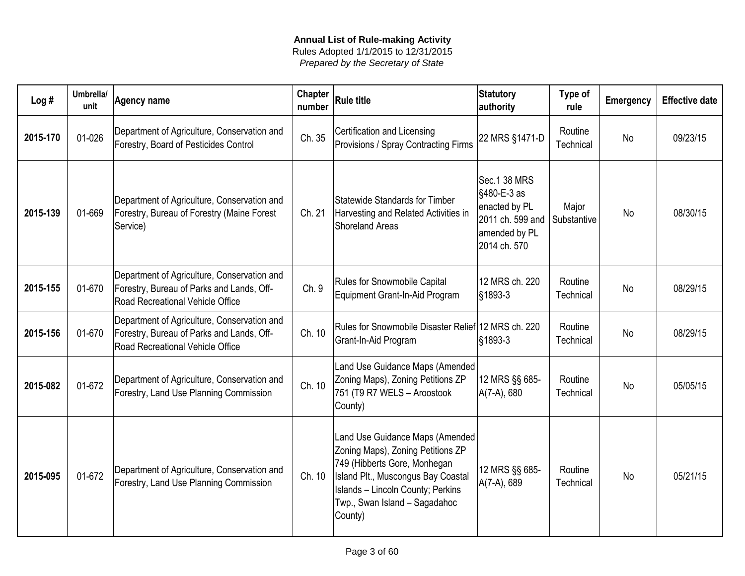| Log#     | Umbrella/<br>unit | Agency name                                                                                                                  | Chapter<br>number | <b>Rule title</b>                                                                                                                                                                                                                  | Statutory<br>authority                                                                            | Type of<br>rule      | Emergency | <b>Effective date</b> |
|----------|-------------------|------------------------------------------------------------------------------------------------------------------------------|-------------------|------------------------------------------------------------------------------------------------------------------------------------------------------------------------------------------------------------------------------------|---------------------------------------------------------------------------------------------------|----------------------|-----------|-----------------------|
| 2015-170 | 01-026            | Department of Agriculture, Conservation and<br>Forestry, Board of Pesticides Control                                         | Ch. 35            | Certification and Licensing<br>Provisions / Spray Contracting Firms                                                                                                                                                                | 22 MRS §1471-D                                                                                    | Routine<br>Technical | <b>No</b> | 09/23/15              |
| 2015-139 | 01-669            | Department of Agriculture, Conservation and<br>Forestry, Bureau of Forestry (Maine Forest<br>Service)                        | Ch. 21            | Statewide Standards for Timber<br>Harvesting and Related Activities in<br><b>Shoreland Areas</b>                                                                                                                                   | Sec.1 38 MRS<br>§480-E-3 as<br>enacted by PL<br>2011 ch. 599 and<br>amended by PL<br>2014 ch. 570 | Major<br>Substantive | <b>No</b> | 08/30/15              |
| 2015-155 | 01-670            | Department of Agriculture, Conservation and<br>Forestry, Bureau of Parks and Lands, Off-<br>Road Recreational Vehicle Office | Ch.9              | <b>Rules for Snowmobile Capital</b><br>Equipment Grant-In-Aid Program                                                                                                                                                              | 12 MRS ch. 220<br>$\frac{1}{3}1893 - 3$                                                           | Routine<br>Technical | <b>No</b> | 08/29/15              |
| 2015-156 | 01-670            | Department of Agriculture, Conservation and<br>Forestry, Bureau of Parks and Lands, Off-<br>Road Recreational Vehicle Office | Ch. 10            | Rules for Snowmobile Disaster Relief 12 MRS ch. 220<br>Grant-In-Aid Program                                                                                                                                                        | $\frac{1}{3}1893 - 3$                                                                             | Routine<br>Technical | <b>No</b> | 08/29/15              |
| 2015-082 | 01-672            | Department of Agriculture, Conservation and<br>Forestry, Land Use Planning Commission                                        | Ch. 10            | Land Use Guidance Maps (Amended<br>Zoning Maps), Zoning Petitions ZP<br>751 (T9 R7 WELS - Aroostook<br>County)                                                                                                                     | 12 MRS §§ 685-<br>A(7-A), 680                                                                     | Routine<br>Technical | <b>No</b> | 05/05/15              |
| 2015-095 | 01-672            | Department of Agriculture, Conservation and<br>Forestry, Land Use Planning Commission                                        | Ch. 10            | Land Use Guidance Maps (Amended<br>Zoning Maps), Zoning Petitions ZP<br>749 (Hibberts Gore, Monhegan<br>Island Plt., Muscongus Bay Coastal<br><b>Islands - Lincoln County; Perkins</b><br>Twp., Swan Island - Sagadahoc<br>County) | 12 MRS §§ 685-<br>A(7-A), 689                                                                     | Routine<br>Technical | <b>No</b> | 05/21/15              |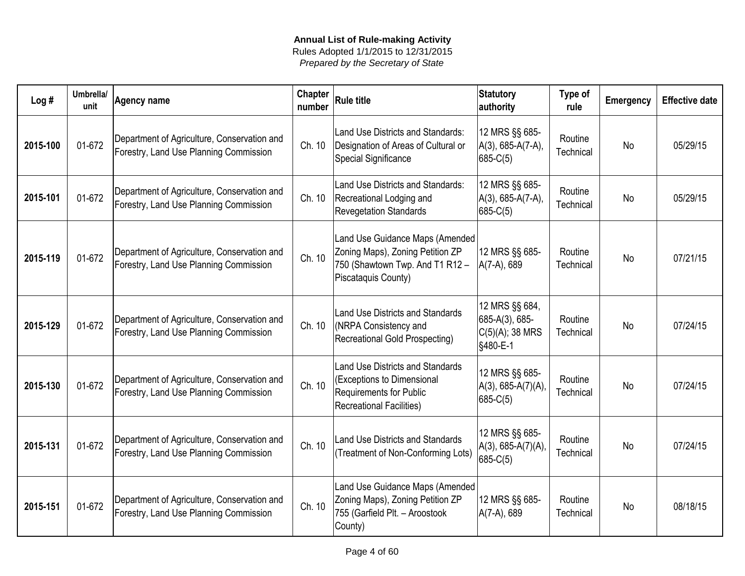| Log#     | Umbrella/<br>unit | <b>Agency name</b>                                                                    | <b>Chapter</b><br>number | <b>Rule title</b>                                                                                                              | <b>Statutory</b><br>authority                                     | Type of<br>rule      | Emergency | <b>Effective date</b> |
|----------|-------------------|---------------------------------------------------------------------------------------|--------------------------|--------------------------------------------------------------------------------------------------------------------------------|-------------------------------------------------------------------|----------------------|-----------|-----------------------|
| 2015-100 | 01-672            | Department of Agriculture, Conservation and<br>Forestry, Land Use Planning Commission | Ch. 10                   | Land Use Districts and Standards:<br>Designation of Areas of Cultural or<br>Special Significance                               | 12 MRS §§ 685-<br>$A(3)$ , 685-A(7-A),<br>$685-C(5)$              | Routine<br>Technical | <b>No</b> | 05/29/15              |
| 2015-101 | 01-672            | Department of Agriculture, Conservation and<br>Forestry, Land Use Planning Commission | Ch. 10                   | Land Use Districts and Standards:<br>Recreational Lodging and<br><b>Revegetation Standards</b>                                 | 12 MRS §§ 685-<br>A(3), 685-A(7-A),<br>$685-C(5)$                 | Routine<br>Technical | <b>No</b> | 05/29/15              |
| 2015-119 | 01-672            | Department of Agriculture, Conservation and<br>Forestry, Land Use Planning Commission | Ch. 10                   | Land Use Guidance Maps (Amended)<br>Zoning Maps), Zoning Petition ZP<br>750 (Shawtown Twp. And T1 R12 -<br>Piscataquis County) | 12 MRS §§ 685-<br>$A(7-A), 689$                                   | Routine<br>Technical | <b>No</b> | 07/21/15              |
| 2015-129 | 01-672            | Department of Agriculture, Conservation and<br>Forestry, Land Use Planning Commission | Ch. 10                   | Land Use Districts and Standards<br>(NRPA Consistency and<br>Recreational Gold Prospecting)                                    | 12 MRS §§ 684,<br>685-A(3), 685-<br>$C(5)(A);$ 38 MRS<br>§480-E-1 | Routine<br>Technical | <b>No</b> | 07/24/15              |
| 2015-130 | 01-672            | Department of Agriculture, Conservation and<br>Forestry, Land Use Planning Commission | Ch. 10                   | Land Use Districts and Standards<br>(Exceptions to Dimensional<br>Requirements for Public<br><b>Recreational Facilities)</b>   | 12 MRS §§ 685-<br>A(3), 685-A(7)(A)<br>$685-C(5)$                 | Routine<br>Technical | <b>No</b> | 07/24/15              |
| 2015-131 | 01-672            | Department of Agriculture, Conservation and<br>Forestry, Land Use Planning Commission | Ch. 10                   | <b>Land Use Districts and Standards</b><br>(Treatment of Non-Conforming Lots)                                                  | 12 MRS §§ 685-<br>$A(3), 685-A(7)(A)$<br>$ 685-C(5) $             | Routine<br>Technical | <b>No</b> | 07/24/15              |
| 2015-151 | 01-672            | Department of Agriculture, Conservation and<br>Forestry, Land Use Planning Commission | Ch. 10                   | Land Use Guidance Maps (Amended<br>Zoning Maps), Zoning Petition ZP<br>755 (Garfield Plt. - Aroostook<br>County)               | 12 MRS §§ 685-<br>A(7-A), 689                                     | Routine<br>Technical | <b>No</b> | 08/18/15              |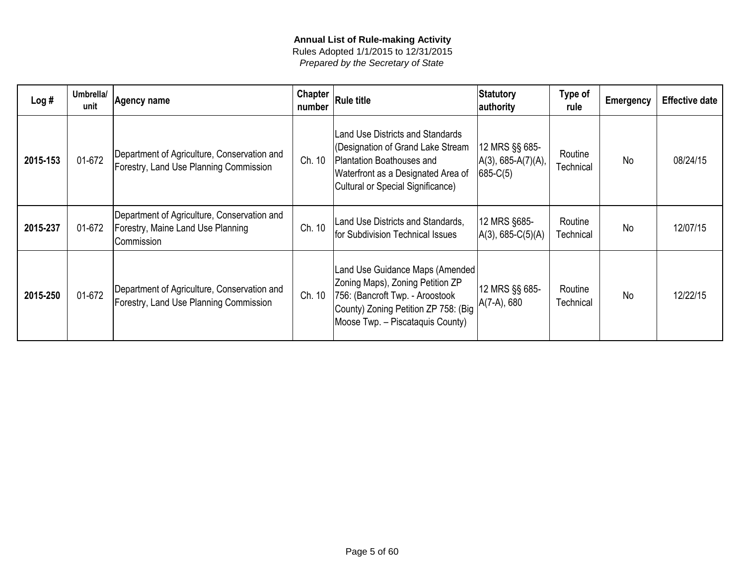| Log#     | Umbrella/<br>unit | Agency name                                                                                    | Chapter<br>number | Rule title                                                                                                                                                                           | Statutory<br>authority                                  | Type of<br>rule      | <b>Emergency</b> | <b>Effective date</b> |
|----------|-------------------|------------------------------------------------------------------------------------------------|-------------------|--------------------------------------------------------------------------------------------------------------------------------------------------------------------------------------|---------------------------------------------------------|----------------------|------------------|-----------------------|
| 2015-153 | 01-672            | Department of Agriculture, Conservation and<br>Forestry, Land Use Planning Commission          | Ch. 10            | <b>Land Use Districts and Standards</b><br>(Designation of Grand Lake Stream<br>Plantation Boathouses and<br>Waterfront as a Designated Area of<br>Cultural or Special Significance) | 12 MRS §§ 685-<br>$ A(3), 685-A(7)(A),$<br>$ 685-C(5) $ | Routine<br>Technical | <b>No</b>        | 08/24/15              |
| 2015-237 | 01-672            | Department of Agriculture, Conservation and<br>Forestry, Maine Land Use Planning<br>Commission | Ch. 10            | Land Use Districts and Standards,<br>for Subdivision Technical Issues                                                                                                                | 12 MRS §685-<br>$A(3), 685-C(5)(A)$                     | Routine<br>Technical | <b>No</b>        | 12/07/15              |
| 2015-250 | 01-672            | Department of Agriculture, Conservation and<br>Forestry, Land Use Planning Commission          | Ch. 10            | Land Use Guidance Maps (Amended<br>Zoning Maps), Zoning Petition ZP<br>756: (Bancroft Twp. - Aroostook<br>County) Zoning Petition ZP 758: (Big<br>Moose Twp. - Piscataquis County)   | 12 MRS §§ 685-<br>A(7-A), 680                           | Routine<br>Technical | <b>No</b>        | 12/22/15              |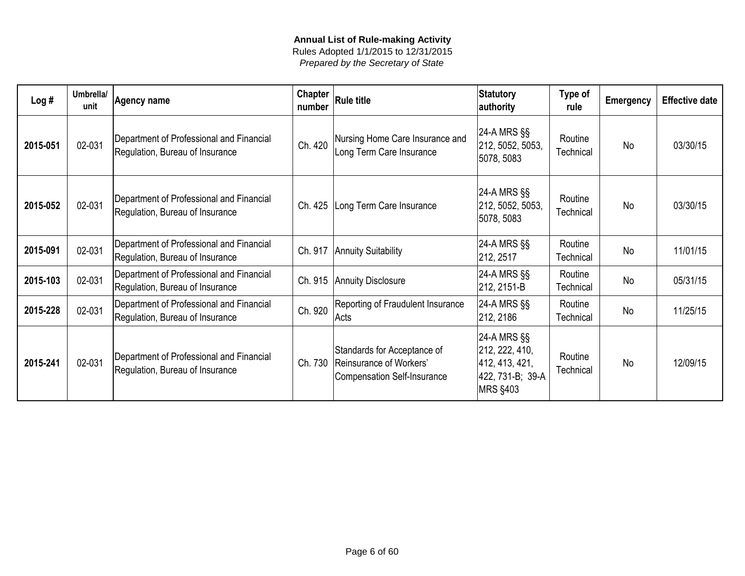| Log#     | Umbrella/<br>unit | <b>Agency name</b>                                                          | <b>Chapter</b><br>number | <b>Rule title</b>                                                                            | Statutory<br>authority                                                                 | Type of<br>rule      | <b>Emergency</b> | <b>Effective date</b> |
|----------|-------------------|-----------------------------------------------------------------------------|--------------------------|----------------------------------------------------------------------------------------------|----------------------------------------------------------------------------------------|----------------------|------------------|-----------------------|
| 2015-051 | 02-031            | Department of Professional and Financial<br>Regulation, Bureau of Insurance | Ch. 420                  | Nursing Home Care Insurance and<br>Long Term Care Insurance                                  | 24-A MRS §§<br>212, 5052, 5053,<br>5078, 5083                                          | Routine<br>Technical | <b>No</b>        | 03/30/15              |
| 2015-052 | 02-031            | Department of Professional and Financial<br>Regulation, Bureau of Insurance | Ch. 425                  | Long Term Care Insurance                                                                     | 24-A MRS §§<br>212, 5052, 5053,<br>5078, 5083                                          | Routine<br>Technical | <b>No</b>        | 03/30/15              |
| 2015-091 | 02-031            | Department of Professional and Financial<br>Regulation, Bureau of Insurance |                          | Ch. 917   Annuity Suitability                                                                | 24-A MRS §§<br>212, 2517                                                               | Routine<br>Technical | <b>No</b>        | 11/01/15              |
| 2015-103 | 02-031            | Department of Professional and Financial<br>Regulation, Bureau of Insurance |                          | Ch. 915 Annuity Disclosure                                                                   | 24-A MRS §§<br>212, 2151-B                                                             | Routine<br>Technical | <b>No</b>        | 05/31/15              |
| 2015-228 | 02-031            | Department of Professional and Financial<br>Regulation, Bureau of Insurance | Ch. 920                  | Reporting of Fraudulent Insurance<br>Acts                                                    | 24-A MRS §§<br>212, 2186                                                               | Routine<br>Technical | <b>No</b>        | 11/25/15              |
| 2015-241 | 02-031            | Department of Professional and Financial<br>Regulation, Bureau of Insurance | Ch. 730                  | Standards for Acceptance of<br>Reinsurance of Workers'<br><b>Compensation Self-Insurance</b> | 24-A MRS §§<br>212, 222, 410,<br>412, 413, 421,<br>422, 731-B; 39-A<br><b>MRS §403</b> | Routine<br>Technical | <b>No</b>        | 12/09/15              |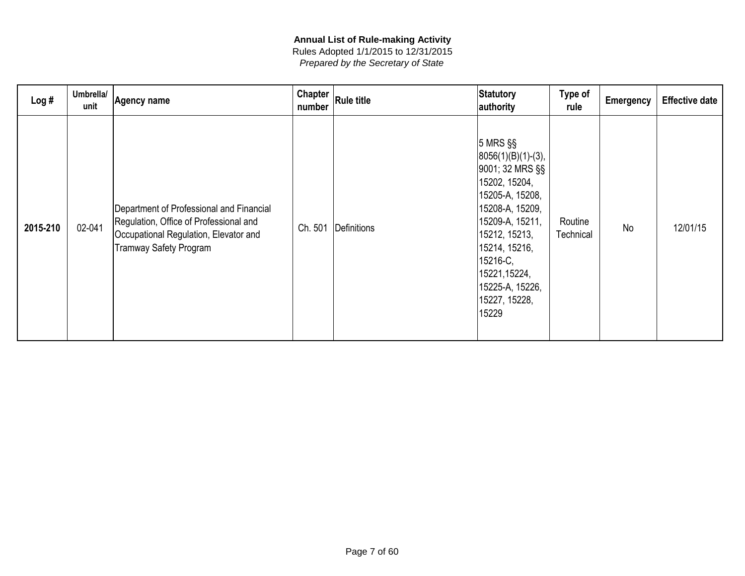| Log#     | Umbrella/<br>unit | <b>Agency name</b>                                                                                                                                           | Chapter<br>number | <b>Rule title</b> | Statutory<br>authority                                                                                                                                                                                                                         | Type of<br>rule      | <b>Emergency</b> | <b>Effective date</b> |
|----------|-------------------|--------------------------------------------------------------------------------------------------------------------------------------------------------------|-------------------|-------------------|------------------------------------------------------------------------------------------------------------------------------------------------------------------------------------------------------------------------------------------------|----------------------|------------------|-----------------------|
| 2015-210 | 02-041            | Department of Professional and Financial<br>Regulation, Office of Professional and<br>Occupational Regulation, Elevator and<br><b>Tramway Safety Program</b> | Ch. 501           | Definitions       | $ 5$ MRS $\S$<br>$ 8056(1)(B)(1)-(3),$<br>9001; 32 MRS §§<br>15202, 15204,<br>15205-A, 15208,<br>15208-A, 15209,<br>15209-A, 15211,<br>15212, 15213,<br>15214, 15216,<br>15216-C,<br>15221,15224,<br>15225-A, 15226,<br>15227, 15228,<br>15229 | Routine<br>Technical | <b>No</b>        | 12/01/15              |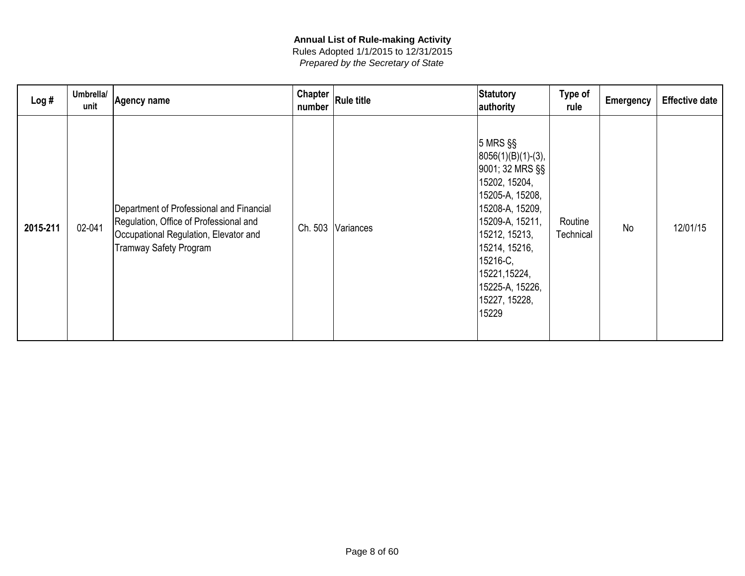| Log#     | Umbrella/<br>unit | <b>Agency name</b>                                                                                                                                           | Chapter<br>number | <b>Rule title</b> | Statutory<br>authority                                                                                                                                                                                                                         | Type of<br>rule      | <b>Emergency</b> | <b>Effective date</b> |
|----------|-------------------|--------------------------------------------------------------------------------------------------------------------------------------------------------------|-------------------|-------------------|------------------------------------------------------------------------------------------------------------------------------------------------------------------------------------------------------------------------------------------------|----------------------|------------------|-----------------------|
| 2015-211 | 02-041            | Department of Professional and Financial<br>Regulation, Office of Professional and<br>Occupational Regulation, Elevator and<br><b>Tramway Safety Program</b> | Ch. 503           | Variances         | $ 5$ MRS $\S$<br>$ 8056(1)(B)(1)-(3),$<br>9001; 32 MRS §§<br>15202, 15204,<br>15205-A, 15208,<br>15208-A, 15209,<br>15209-A, 15211,<br>15212, 15213,<br>15214, 15216,<br>15216-C,<br>15221,15224,<br>15225-A, 15226,<br>15227, 15228,<br>15229 | Routine<br>Technical | <b>No</b>        | 12/01/15              |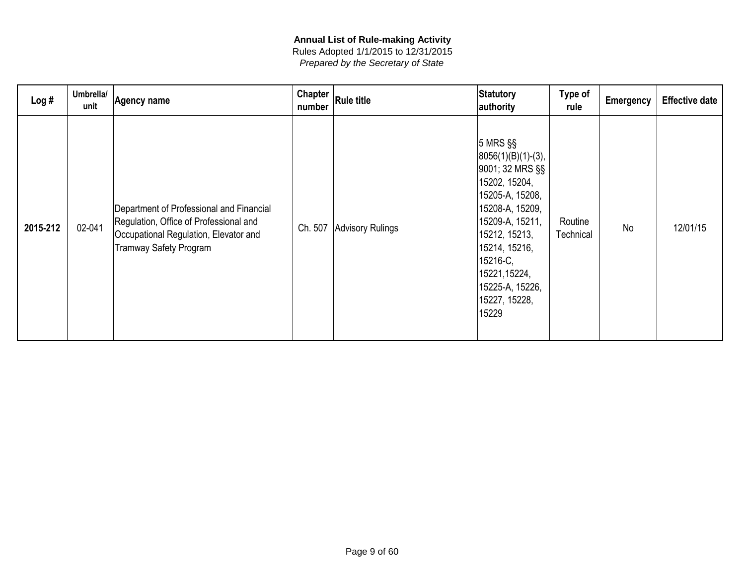| Log#     | Umbrella/<br>unit | <b>Agency name</b>                                                                                                                                           | Chapter<br>number | <b>Rule title</b>        | Statutory<br>authority                                                                                                                                                                                                                         | Type of<br>rule      | <b>Emergency</b> | <b>Effective date</b> |
|----------|-------------------|--------------------------------------------------------------------------------------------------------------------------------------------------------------|-------------------|--------------------------|------------------------------------------------------------------------------------------------------------------------------------------------------------------------------------------------------------------------------------------------|----------------------|------------------|-----------------------|
| 2015-212 | 02-041            | Department of Professional and Financial<br>Regulation, Office of Professional and<br>Occupational Regulation, Elevator and<br><b>Tramway Safety Program</b> |                   | Ch. 507 Advisory Rulings | $ 5$ MRS $\S$<br>$ 8056(1)(B)(1)-(3),$<br>9001; 32 MRS §§<br>15202, 15204,<br>15205-A, 15208,<br>15208-A, 15209,<br>15209-A, 15211,<br>15212, 15213,<br>15214, 15216,<br>15216-C,<br>15221,15224,<br>15225-A, 15226,<br>15227, 15228,<br>15229 | Routine<br>Technical | <b>No</b>        | 12/01/15              |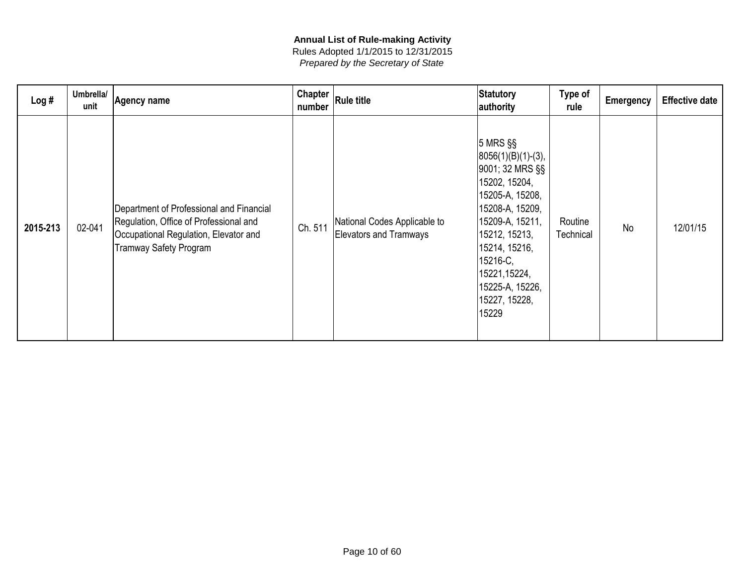| Log#     | Umbrella/<br>unit | Agency name                                                                                                                                                  | Chapter<br>number | <b>Rule title</b>                                             | Statutory<br>authority                                                                                                                                                                                                                         | Type of<br>rule      | <b>Emergency</b> | <b>Effective date</b> |
|----------|-------------------|--------------------------------------------------------------------------------------------------------------------------------------------------------------|-------------------|---------------------------------------------------------------|------------------------------------------------------------------------------------------------------------------------------------------------------------------------------------------------------------------------------------------------|----------------------|------------------|-----------------------|
| 2015-213 | 02-041            | Department of Professional and Financial<br>Regulation, Office of Professional and<br>Occupational Regulation, Elevator and<br><b>Tramway Safety Program</b> | Ch. 511           | National Codes Applicable to<br><b>Elevators and Tramways</b> | $ 5$ MRS $\S$<br>$ 8056(1)(B)(1)-(3),$<br>9001; 32 MRS §§<br>15202, 15204,<br>15205-A, 15208,<br>15208-A, 15209,<br>15209-A, 15211,<br>15212, 15213,<br>15214, 15216,<br>15216-C,<br>15221,15224,<br>15225-A, 15226,<br>15227, 15228,<br>15229 | Routine<br>Technical | <b>No</b>        | 12/01/15              |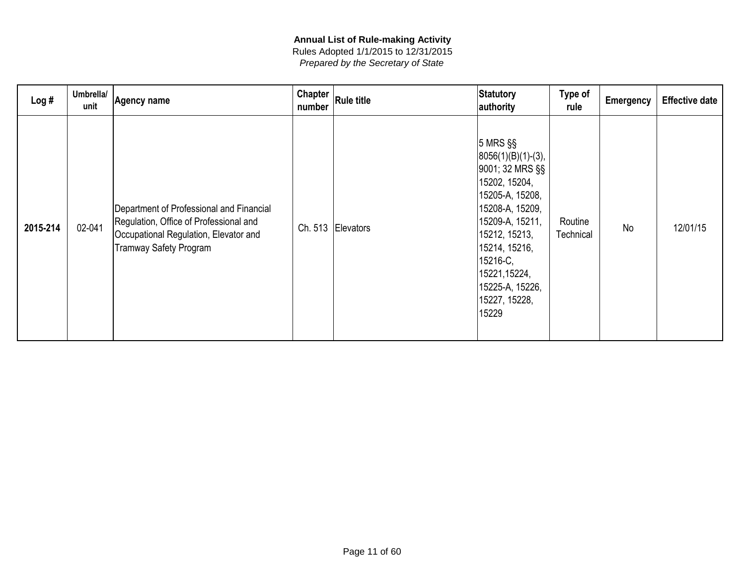| Log#     | Umbrella/<br>unit | <b>Agency name</b>                                                                                                                                           | Chapter<br>number | <b>Rule title</b> | Statutory<br>authority                                                                                                                                                                                                                         | Type of<br>rule      | <b>Emergency</b> | <b>Effective date</b> |
|----------|-------------------|--------------------------------------------------------------------------------------------------------------------------------------------------------------|-------------------|-------------------|------------------------------------------------------------------------------------------------------------------------------------------------------------------------------------------------------------------------------------------------|----------------------|------------------|-----------------------|
| 2015-214 | 02-041            | Department of Professional and Financial<br>Regulation, Office of Professional and<br>Occupational Regulation, Elevator and<br><b>Tramway Safety Program</b> |                   | Ch. 513 Elevators | $ 5$ MRS $\S$<br>$ 8056(1)(B)(1)-(3),$<br>9001; 32 MRS §§<br>15202, 15204,<br>15205-A, 15208,<br>15208-A, 15209,<br>15209-A, 15211,<br>15212, 15213,<br>15214, 15216,<br>15216-C,<br>15221,15224,<br>15225-A, 15226,<br>15227, 15228,<br>15229 | Routine<br>Technical | <b>No</b>        | 12/01/15              |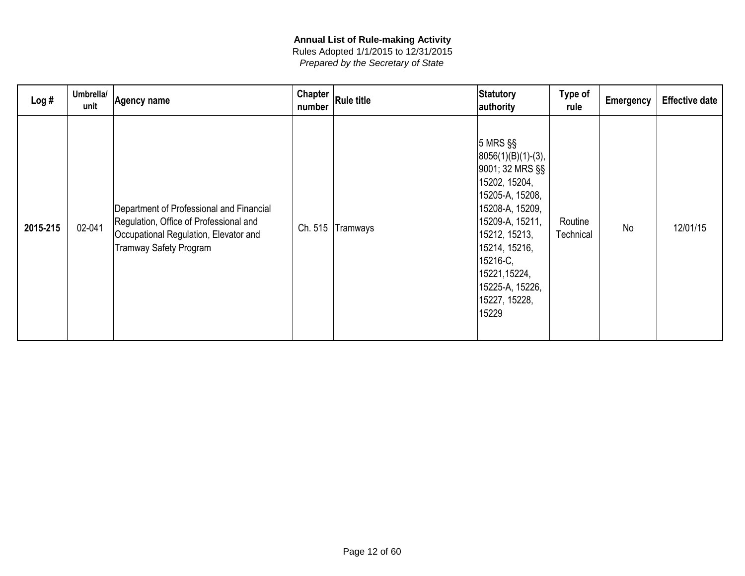| Log#     | Umbrella/<br>unit | <b>Agency name</b>                                                                                                                                           | Chapter<br>number | <b>Rule title</b> | Statutory<br>authority                                                                                                                                                                                                                         | Type of<br>rule      | <b>Emergency</b> | <b>Effective date</b> |
|----------|-------------------|--------------------------------------------------------------------------------------------------------------------------------------------------------------|-------------------|-------------------|------------------------------------------------------------------------------------------------------------------------------------------------------------------------------------------------------------------------------------------------|----------------------|------------------|-----------------------|
| 2015-215 | 02-041            | Department of Professional and Financial<br>Regulation, Office of Professional and<br>Occupational Regulation, Elevator and<br><b>Tramway Safety Program</b> | Ch. 515           | Tramways          | $ 5$ MRS $\S$<br>$ 8056(1)(B)(1)-(3),$<br>9001; 32 MRS §§<br>15202, 15204,<br>15205-A, 15208,<br>15208-A, 15209,<br>15209-A, 15211,<br>15212, 15213,<br>15214, 15216,<br>15216-C,<br>15221,15224,<br>15225-A, 15226,<br>15227, 15228,<br>15229 | Routine<br>Technical | <b>No</b>        | 12/01/15              |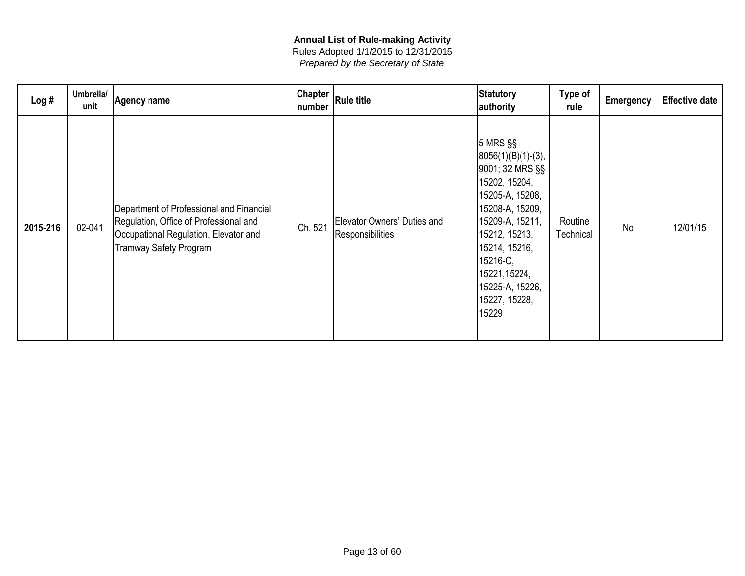| Log#     | Umbrella/<br>unit | Agency name                                                                                                                                                  | Chapter<br>number | <b>Rule title</b>                               | Statutory<br>authority                                                                                                                                                                                                                        | Type of<br>rule      | <b>Emergency</b> | <b>Effective date</b> |
|----------|-------------------|--------------------------------------------------------------------------------------------------------------------------------------------------------------|-------------------|-------------------------------------------------|-----------------------------------------------------------------------------------------------------------------------------------------------------------------------------------------------------------------------------------------------|----------------------|------------------|-----------------------|
| 2015-216 | 02-041            | Department of Professional and Financial<br>Regulation, Office of Professional and<br>Occupational Regulation, Elevator and<br><b>Tramway Safety Program</b> | Ch. 521           | Elevator Owners' Duties and<br>Responsibilities | $5$ MRS $\S$<br>$ 8056(1)(B)(1)-(3),$<br>9001; 32 MRS §§<br>15202, 15204,<br>15205-A, 15208,<br>15208-A, 15209,<br>15209-A, 15211,<br>15212, 15213,<br>15214, 15216,<br>15216-C,<br>15221,15224,<br>15225-A, 15226,<br>15227, 15228,<br>15229 | Routine<br>Technical | <b>No</b>        | 12/01/15              |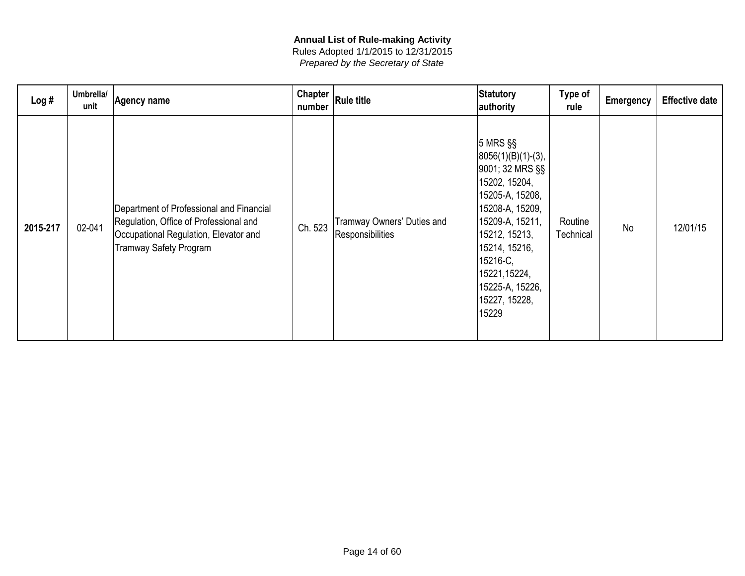| Log#     | Umbrella/<br>unit | Agency name                                                                                                                                                  | Chapter<br>number | <b>Rule title</b>                              | Statutory<br>authority                                                                                                                                                                                                                         | Type of<br>rule      | <b>Emergency</b> | <b>Effective date</b> |
|----------|-------------------|--------------------------------------------------------------------------------------------------------------------------------------------------------------|-------------------|------------------------------------------------|------------------------------------------------------------------------------------------------------------------------------------------------------------------------------------------------------------------------------------------------|----------------------|------------------|-----------------------|
| 2015-217 | 02-041            | Department of Professional and Financial<br>Regulation, Office of Professional and<br>Occupational Regulation, Elevator and<br><b>Tramway Safety Program</b> | Ch. 523           | Tramway Owners' Duties and<br>Responsibilities | $ 5$ MRS $\S$<br>$ 8056(1)(B)(1)-(3),$<br>9001; 32 MRS §§<br>15202, 15204,<br>15205-A, 15208,<br>15208-A, 15209,<br>15209-A, 15211,<br>15212, 15213,<br>15214, 15216,<br>15216-C,<br>15221,15224,<br>15225-A, 15226,<br>15227, 15228,<br>15229 | Routine<br>Technical | <b>No</b>        | 12/01/15              |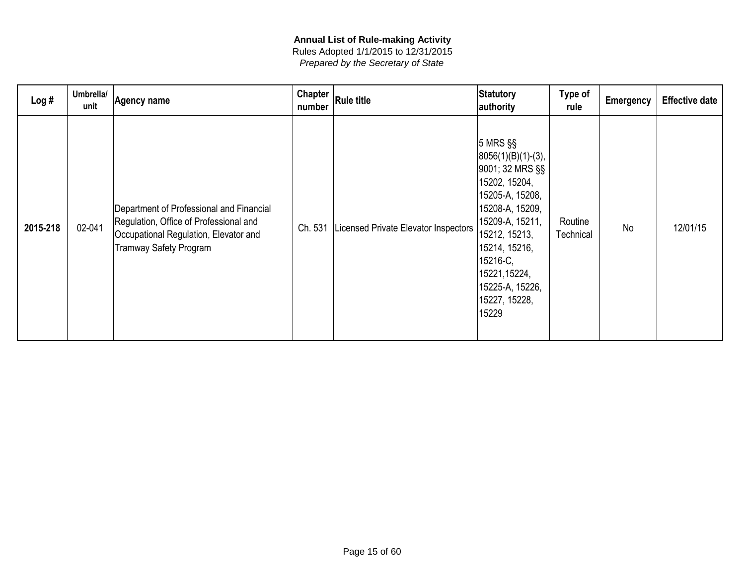| Log#     | Umbrella/<br>unit | <b>Agency name</b>                                                                                                                                           | Chapter<br>number | <b>Rule title</b>                    | Statutory<br>authority                                                                                                                                                                                                                           | Type of<br>rule      | <b>Emergency</b> | <b>Effective date</b> |
|----------|-------------------|--------------------------------------------------------------------------------------------------------------------------------------------------------------|-------------------|--------------------------------------|--------------------------------------------------------------------------------------------------------------------------------------------------------------------------------------------------------------------------------------------------|----------------------|------------------|-----------------------|
| 2015-218 | 02-041            | Department of Professional and Financial<br>Regulation, Office of Professional and<br>Occupational Regulation, Elevator and<br><b>Tramway Safety Program</b> | Ch. 531           | Licensed Private Elevator Inspectors | $ 5$ MRS $\S$<br>$ 8056(1)(B)(1)-(3),$<br>9001; 32 MRS §§<br>15202, 15204,<br> 15205-A, 15208,<br>15208-A, 15209,<br>15209-A, 15211,<br>15212, 15213,<br>15214, 15216,<br>15216-C,<br>15221,15224,<br> 15225-A, 15226,<br>15227, 15228,<br>15229 | Routine<br>Technical | <b>No</b>        | 12/01/15              |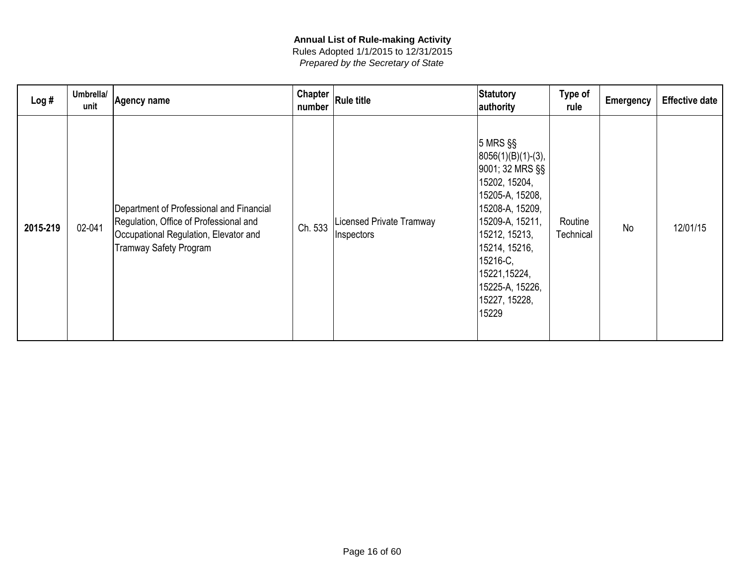| Log#     | Umbrella/<br>unit | Agency name                                                                                                                                                  | Chapter<br>number | <b>Rule title</b>                             | Statutory<br>authority                                                                                                                                                                                                                        | Type of<br>rule      | <b>Emergency</b> | <b>Effective date</b> |
|----------|-------------------|--------------------------------------------------------------------------------------------------------------------------------------------------------------|-------------------|-----------------------------------------------|-----------------------------------------------------------------------------------------------------------------------------------------------------------------------------------------------------------------------------------------------|----------------------|------------------|-----------------------|
| 2015-219 | 02-041            | Department of Professional and Financial<br>Regulation, Office of Professional and<br>Occupational Regulation, Elevator and<br><b>Tramway Safety Program</b> | Ch. 533           | <b>Licensed Private Tramway</b><br>Inspectors | $5$ MRS $\S$<br>$ 8056(1)(B)(1)-(3),$<br>9001; 32 MRS §§<br>15202, 15204,<br>15205-A, 15208,<br>15208-A, 15209,<br>15209-A, 15211,<br>15212, 15213,<br>15214, 15216,<br>15216-C,<br>15221,15224,<br>15225-A, 15226,<br>15227, 15228,<br>15229 | Routine<br>Technical | <b>No</b>        | 12/01/15              |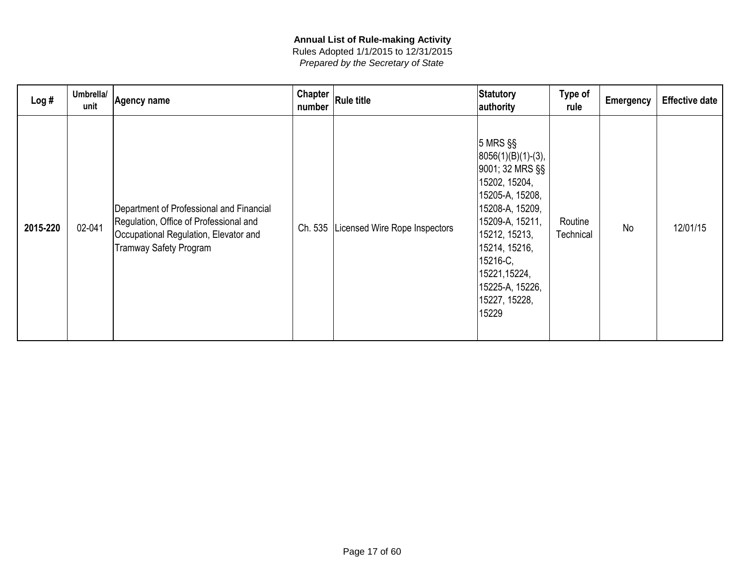| Log#     | Umbrella/<br>unit | Agency name                                                                                                                                                  | <b>Chapter</b><br>number | <b>Rule title</b>             | Statutory<br>authority                                                                                                                                                                                                                         | Type of<br>rule      | <b>Emergency</b> | <b>Effective date</b> |
|----------|-------------------|--------------------------------------------------------------------------------------------------------------------------------------------------------------|--------------------------|-------------------------------|------------------------------------------------------------------------------------------------------------------------------------------------------------------------------------------------------------------------------------------------|----------------------|------------------|-----------------------|
| 2015-220 | 02-041            | Department of Professional and Financial<br>Regulation, Office of Professional and<br>Occupational Regulation, Elevator and<br><b>Tramway Safety Program</b> | Ch. 535                  | Licensed Wire Rope Inspectors | $ 5$ MRS $\S$<br>$ 8056(1)(B)(1)-(3),$<br>9001; 32 MRS §§<br>15202, 15204,<br>15205-A, 15208,<br>15208-A, 15209,<br>15209-A, 15211,<br>15212, 15213,<br>15214, 15216,<br>15216-C,<br>15221,15224,<br>15225-A, 15226,<br>15227, 15228,<br>15229 | Routine<br>Technical | <b>No</b>        | 12/01/15              |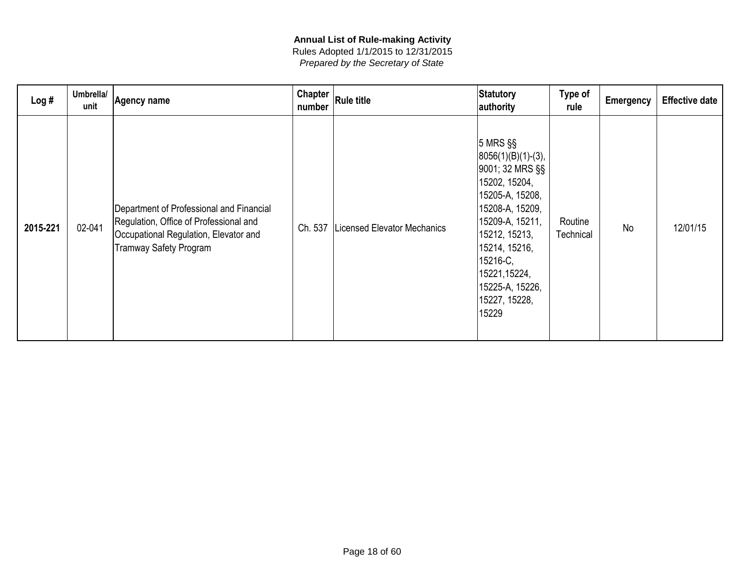| Log#     | Umbrella/<br>unit | <b>Agency name</b>                                                                                                                                           | Chapter<br>number | <b>Rule title</b>                  | Statutory<br>authority                                                                                                                                                                                                                         | Type of<br>rule      | <b>Emergency</b> | <b>Effective date</b> |
|----------|-------------------|--------------------------------------------------------------------------------------------------------------------------------------------------------------|-------------------|------------------------------------|------------------------------------------------------------------------------------------------------------------------------------------------------------------------------------------------------------------------------------------------|----------------------|------------------|-----------------------|
| 2015-221 | 02-041            | Department of Professional and Financial<br>Regulation, Office of Professional and<br>Occupational Regulation, Elevator and<br><b>Tramway Safety Program</b> | Ch. 537           | <b>Licensed Elevator Mechanics</b> | $ 5$ MRS $\S$<br>$ 8056(1)(B)(1)-(3),$<br>9001; 32 MRS §§<br>15202, 15204,<br>15205-A, 15208,<br>15208-A, 15209,<br>15209-A, 15211,<br>15212, 15213,<br>15214, 15216,<br>15216-C,<br>15221,15224,<br>15225-A, 15226,<br>15227, 15228,<br>15229 | Routine<br>Technical | <b>No</b>        | 12/01/15              |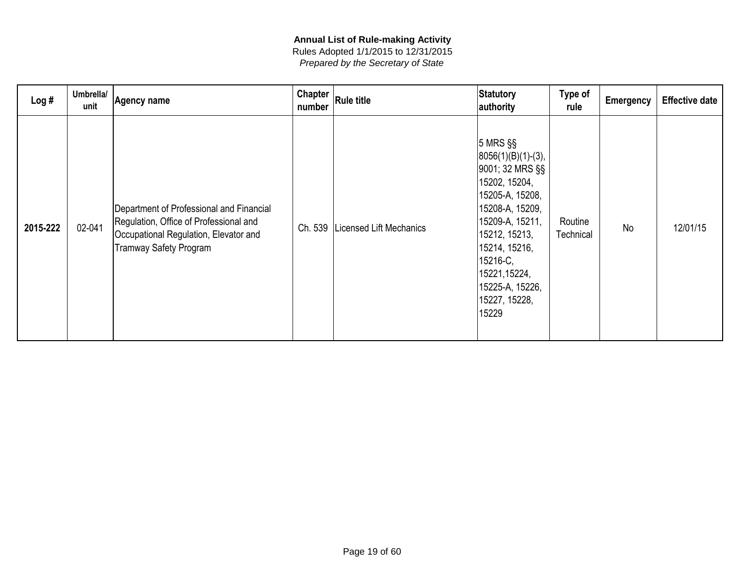| Log#     | Umbrella/<br>unit | <b>Agency name</b>                                                                                                                                           | Chapter<br>number | <b>Rule title</b>       | Statutory<br>authority                                                                                                                                                                                                                         | Type of<br>rule      | <b>Emergency</b> | <b>Effective date</b> |
|----------|-------------------|--------------------------------------------------------------------------------------------------------------------------------------------------------------|-------------------|-------------------------|------------------------------------------------------------------------------------------------------------------------------------------------------------------------------------------------------------------------------------------------|----------------------|------------------|-----------------------|
| 2015-222 | 02-041            | Department of Professional and Financial<br>Regulation, Office of Professional and<br>Occupational Regulation, Elevator and<br><b>Tramway Safety Program</b> | Ch. 539           | Licensed Lift Mechanics | $ 5$ MRS $\S$<br>$ 8056(1)(B)(1)-(3),$<br>9001; 32 MRS §§<br>15202, 15204,<br>15205-A, 15208,<br>15208-A, 15209,<br>15209-A, 15211,<br>15212, 15213,<br>15214, 15216,<br>15216-C,<br>15221,15224,<br>15225-A, 15226,<br>15227, 15228,<br>15229 | Routine<br>Technical | <b>No</b>        | 12/01/15              |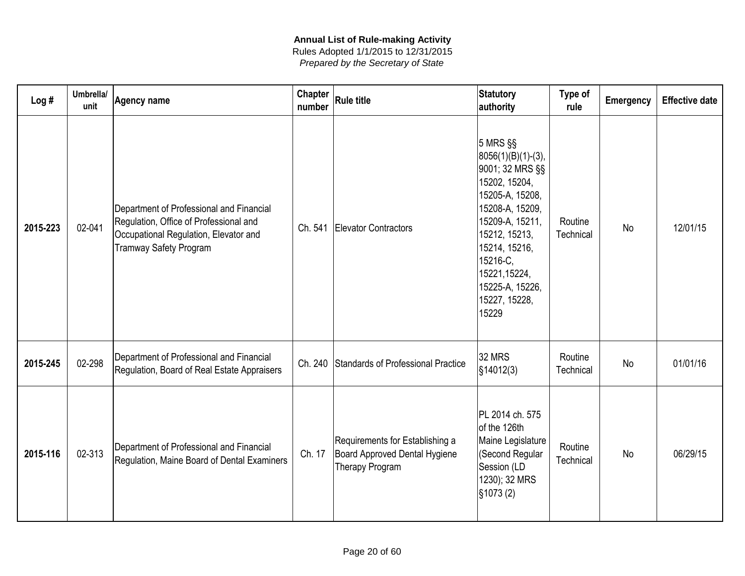| Log#     | Umbrella/<br>unit | <b>Agency name</b>                                                                                                                                           | <b>Chapter</b><br>number | <b>Rule title</b>                                                                   | Statutory<br>authority                                                                                                                                                                                                                        | Type of<br>rule      | <b>Emergency</b> | <b>Effective date</b> |
|----------|-------------------|--------------------------------------------------------------------------------------------------------------------------------------------------------------|--------------------------|-------------------------------------------------------------------------------------|-----------------------------------------------------------------------------------------------------------------------------------------------------------------------------------------------------------------------------------------------|----------------------|------------------|-----------------------|
| 2015-223 | 02-041            | Department of Professional and Financial<br>Regulation, Office of Professional and<br>Occupational Regulation, Elevator and<br><b>Tramway Safety Program</b> | Ch. 541                  | Elevator Contractors                                                                | $5$ MRS $\S$<br>$ 8056(1)(B)(1)-(3),$<br>9001; 32 MRS §§<br>15202, 15204,<br>15205-A, 15208,<br>15208-A, 15209,<br>15209-A, 15211,<br>15212, 15213,<br>15214, 15216,<br>15216-C,<br>15221,15224,<br>15225-A, 15226,<br>15227, 15228,<br>15229 | Routine<br>Technical | No               | 12/01/15              |
| 2015-245 | 02-298            | Department of Professional and Financial<br>Regulation, Board of Real Estate Appraisers                                                                      |                          | Ch. 240 Standards of Professional Practice                                          | 32 MRS<br>$\frac{1}{3}14012(3)$                                                                                                                                                                                                               | Routine<br>Technical | <b>No</b>        | 01/01/16              |
| 2015-116 | 02-313            | Department of Professional and Financial<br>Regulation, Maine Board of Dental Examiners                                                                      | Ch. 17                   | Requirements for Establishing a<br>Board Approved Dental Hygiene<br>Therapy Program | PL 2014 ch. 575<br>of the 126th<br>Maine Legislature<br>(Second Regular<br>Session (LD<br>1230); 32 MRS<br>$\S$ 1073 $(2)$                                                                                                                    | Routine<br>Technical | <b>No</b>        | 06/29/15              |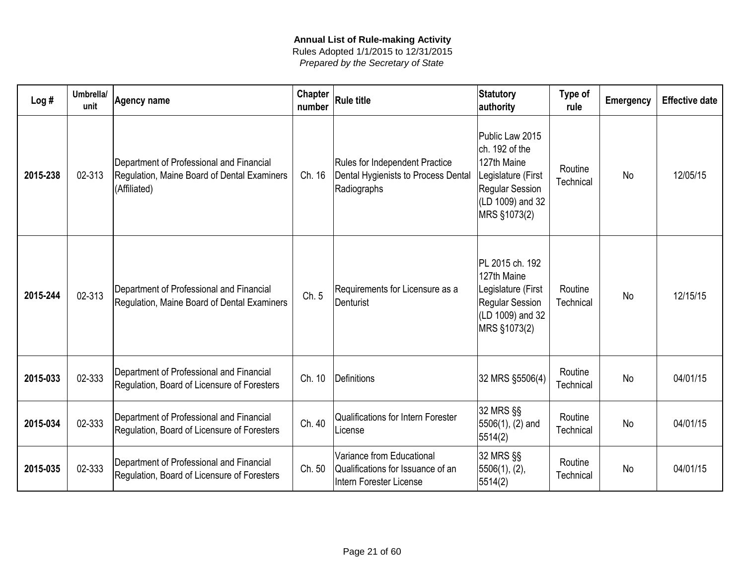| Log#     | Umbrella/<br>unit | Agency name                                                                                             | <b>Chapter</b><br>number | <b>Rule title</b>                                                                         | <b>Statutory</b><br>authority                                                                                                        | Type of<br>rule      | <b>Emergency</b> | <b>Effective date</b> |
|----------|-------------------|---------------------------------------------------------------------------------------------------------|--------------------------|-------------------------------------------------------------------------------------------|--------------------------------------------------------------------------------------------------------------------------------------|----------------------|------------------|-----------------------|
| 2015-238 | 02-313            | Department of Professional and Financial<br>Regulation, Maine Board of Dental Examiners<br>(Affiliated) | Ch. 16                   | Rules for Independent Practice<br>Dental Hygienists to Process Dental<br>Radiographs      | Public Law 2015<br>ch. 192 of the<br>127th Maine<br>Legislature (First<br><b>Regular Session</b><br>(LD 1009) and 32<br>MRS §1073(2) | Routine<br>Technical | <b>No</b>        | 12/05/15              |
| 2015-244 | 02-313            | Department of Professional and Financial<br>Regulation, Maine Board of Dental Examiners                 | Ch. 5                    | Requirements for Licensure as a<br>Denturist                                              | PL 2015 ch. 192<br>127th Maine<br>Legislature (First<br><b>Regular Session</b><br>(LD 1009) and 32<br>MRS §1073(2)                   | Routine<br>Technical | <b>No</b>        | 12/15/15              |
| 2015-033 | 02-333            | Department of Professional and Financial<br>Regulation, Board of Licensure of Foresters                 | Ch. 10                   | Definitions                                                                               | 32 MRS §5506(4)                                                                                                                      | Routine<br>Technical | <b>No</b>        | 04/01/15              |
| 2015-034 | 02-333            | Department of Professional and Financial<br>Regulation, Board of Licensure of Foresters                 | Ch. 40                   | <b>Qualifications for Intern Forester</b><br>License                                      | 32 MRS §§<br>5506(1), (2) and<br>5514(2)                                                                                             | Routine<br>Technical | No               | 04/01/15              |
| 2015-035 | 02-333            | Department of Professional and Financial<br>Regulation, Board of Licensure of Foresters                 | Ch. 50                   | Variance from Educational<br>Qualifications for Issuance of an<br>Intern Forester License | 32 MRS §§<br> 5506(1), (2),<br>5514(2)                                                                                               | Routine<br>Technical | <b>No</b>        | 04/01/15              |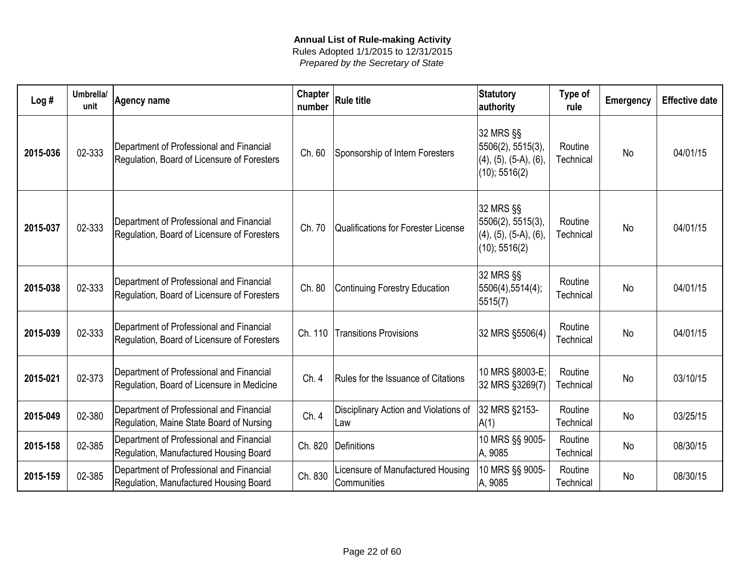| Log#     | Umbrella/<br>unit | <b>Agency name</b>                                                                      | <b>Chapter</b><br>number | <b>Rule title</b>                                | <b>Statutory</b><br>authority                                                        | Type of<br>rule      | <b>Emergency</b> | <b>Effective date</b> |
|----------|-------------------|-----------------------------------------------------------------------------------------|--------------------------|--------------------------------------------------|--------------------------------------------------------------------------------------|----------------------|------------------|-----------------------|
| 2015-036 | 02-333            | Department of Professional and Financial<br>Regulation, Board of Licensure of Foresters | Ch. 60                   | Sponsorship of Intern Foresters                  | 32 MRS §§<br>5506(2), 5515(3),<br>$(4)$ , $(5)$ , $(5-A)$ , $(6)$ ,<br>(10); 5516(2) | Routine<br>Technical | <b>No</b>        | 04/01/15              |
| 2015-037 | 02-333            | Department of Professional and Financial<br>Regulation, Board of Licensure of Foresters | Ch. 70                   | Qualifications for Forester License              | 32 MRS §§<br>5506(2), 5515(3),<br>$(4)$ , $(5)$ , $(5-A)$ , $(6)$ ,<br>(10); 5516(2) | Routine<br>Technical | <b>No</b>        | 04/01/15              |
| 2015-038 | 02-333            | Department of Professional and Financial<br>Regulation, Board of Licensure of Foresters | Ch. 80                   | Continuing Forestry Education                    | 32 MRS §§<br>5506(4),5514(4);<br> 5515(7)                                            | Routine<br>Technical | <b>No</b>        | 04/01/15              |
| 2015-039 | 02-333            | Department of Professional and Financial<br>Regulation, Board of Licensure of Foresters | Ch. 110                  | <b>Transitions Provisions</b>                    | 32 MRS §5506(4)                                                                      | Routine<br>Technical | <b>No</b>        | 04/01/15              |
| 2015-021 | 02-373            | Department of Professional and Financial<br>Regulation, Board of Licensure in Medicine  | Ch. 4                    | Rules for the Issuance of Citations              | 10 MRS §8003-E;<br>32 MRS §3269(7)                                                   | Routine<br>Technical | <b>No</b>        | 03/10/15              |
| 2015-049 | 02-380            | Department of Professional and Financial<br>Regulation, Maine State Board of Nursing    | Ch. 4                    | Disciplinary Action and Violations of<br>Law     | 32 MRS §2153-<br>A(1)                                                                | Routine<br>Technical | <b>No</b>        | 03/25/15              |
| 2015-158 | 02-385            | Department of Professional and Financial<br>Regulation, Manufactured Housing Board      | Ch. 820                  | Definitions                                      | 10 MRS §§ 9005-<br>A, 9085                                                           | Routine<br>Technical | No               | 08/30/15              |
| 2015-159 | 02-385            | Department of Professional and Financial<br>Regulation, Manufactured Housing Board      | Ch. 830                  | Licensure of Manufactured Housing<br>Communities | 10 MRS §§ 9005-<br>A, 9085                                                           | Routine<br>Technical | <b>No</b>        | 08/30/15              |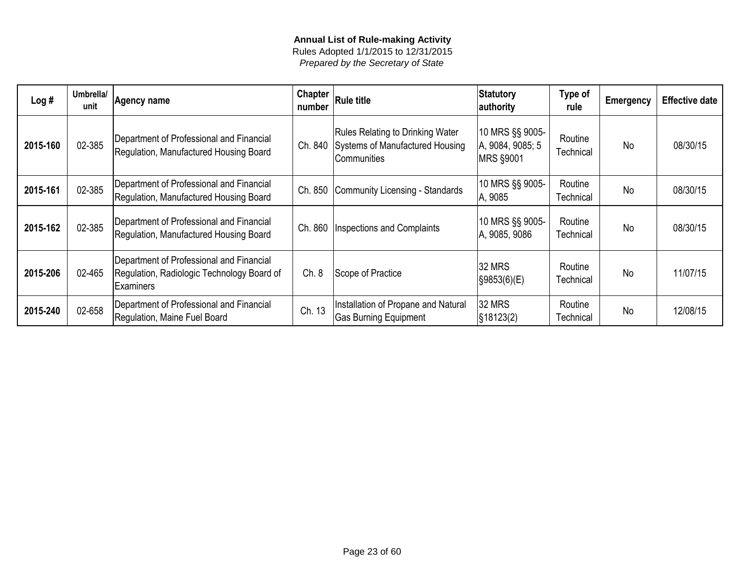| Log#     | Umbrella/<br>unit | Agency name                                                                                                | Chapter<br>number | <b>Rule title</b>                                                                         | Statutory<br>authority                           | Type of<br>rule      | <b>Emergency</b> | <b>Effective date</b> |
|----------|-------------------|------------------------------------------------------------------------------------------------------------|-------------------|-------------------------------------------------------------------------------------------|--------------------------------------------------|----------------------|------------------|-----------------------|
| 2015-160 | 02-385            | Department of Professional and Financial<br>Regulation, Manufactured Housing Board                         | Ch. 840           | <b>Rules Relating to Drinking Water</b><br>Systems of Manufactured Housing<br>Communities | 10 MRS §§ 9005-<br>A, 9084, 9085; 5<br>MRS §9001 | Routine<br>Technical | <b>No</b>        | 08/30/15              |
| 2015-161 | 02-385            | Department of Professional and Financial<br>Regulation, Manufactured Housing Board                         | Ch. 850           | Community Licensing - Standards                                                           | 10 MRS §§ 9005-<br>A, 9085                       | Routine<br>Technical | <b>No</b>        | 08/30/15              |
| 2015-162 | 02-385            | Department of Professional and Financial<br>Regulation, Manufactured Housing Board                         | Ch. 860           | <b>Inspections and Complaints</b>                                                         | 10 MRS §§ 9005-<br>A, 9085, 9086                 | Routine<br>Technical | <b>No</b>        | 08/30/15              |
| 2015-206 | 02-465            | Department of Professional and Financial<br>Regulation, Radiologic Technology Board of<br><b>Examiners</b> | Ch.8              | Scope of Practice                                                                         | <b>32 MRS</b><br>S9853(6)(E)                     | Routine<br>Technical | <b>No</b>        | 11/07/15              |
| 2015-240 | 02-658            | Department of Professional and Financial<br>Regulation, Maine Fuel Board                                   | Ch. 13            | Installation of Propane and Natural<br><b>Gas Burning Equipment</b>                       | <b>32 MRS</b><br>$\frac{1}{3}18123(2)$           | Routine<br>Technical | <b>No</b>        | 12/08/15              |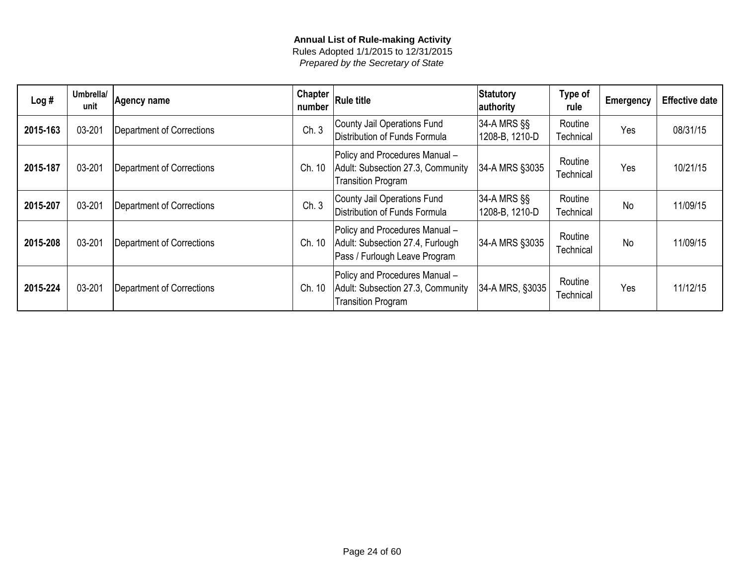| Log#     | Umbrella/<br>unit | Agency name                      | <b>Chapter</b><br>number | <b>Rule title</b>                                                                                   | Statutory<br>authority        | Type of<br>rule      | <b>Emergency</b> | <b>Effective date</b> |
|----------|-------------------|----------------------------------|--------------------------|-----------------------------------------------------------------------------------------------------|-------------------------------|----------------------|------------------|-----------------------|
| 2015-163 | 03-201            | <b>Department of Corrections</b> | Ch.3                     | County Jail Operations Fund<br>Distribution of Funds Formula                                        | 34-A MRS §§<br>1208-B, 1210-D | Routine<br>Technical | Yes              | 08/31/15              |
| 2015-187 | 03-201            | <b>Department of Corrections</b> | Ch. 10                   | Policy and Procedures Manual -<br>Adult: Subsection 27.3, Community<br><b>Transition Program</b>    | 34-A MRS §3035                | Routine<br>Technical | Yes              | 10/21/15              |
| 2015-207 | 03-201            | <b>Department of Corrections</b> | Ch.3                     | County Jail Operations Fund<br>Distribution of Funds Formula                                        | 34-A MRS §§<br>1208-B, 1210-D | Routine<br>Technical | <b>No</b>        | 11/09/15              |
| 2015-208 | 03-201            | <b>Department of Corrections</b> | Ch. 10                   | Policy and Procedures Manual -<br>Adult: Subsection 27.4, Furlough<br>Pass / Furlough Leave Program | 34-A MRS §3035                | Routine<br>Technical | No.              | 11/09/15              |
| 2015-224 | 03-201            | <b>Department of Corrections</b> | 10<br>Ch.                | Policy and Procedures Manual -<br>Adult: Subsection 27.3, Community<br><b>Transition Program</b>    | 34-A MRS, §3035               | Routine<br>Technical | Yes              | 11/12/15              |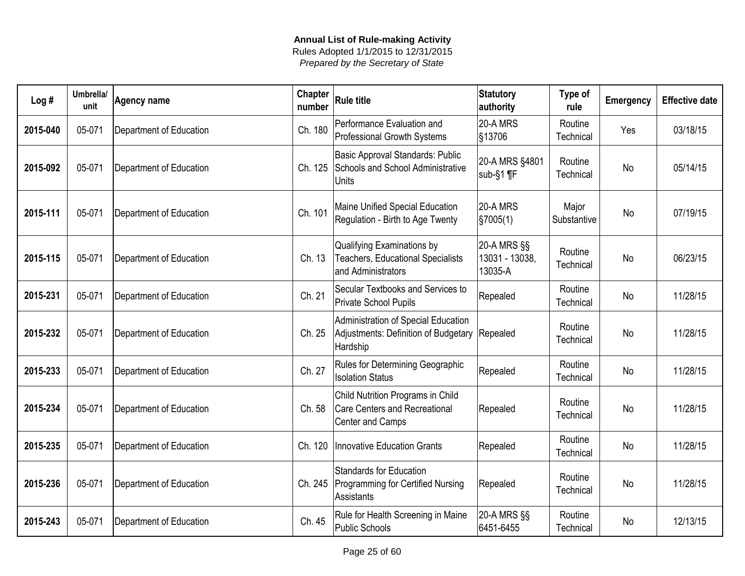| Log#     | Umbrella/<br>unit | <b>Agency name</b>      | <b>Chapter</b><br>number | <b>Rule title</b>                                                                             | <b>Statutory</b><br>authority              | Type of<br>rule      | <b>Emergency</b> | <b>Effective date</b> |
|----------|-------------------|-------------------------|--------------------------|-----------------------------------------------------------------------------------------------|--------------------------------------------|----------------------|------------------|-----------------------|
| 2015-040 | 05-071            | Department of Education | Ch. 180                  | Performance Evaluation and<br>Professional Growth Systems                                     | 20-A MRS<br>§13706                         | Routine<br>Technical | Yes              | 03/18/15              |
| 2015-092 | 05-071            | Department of Education | Ch. 125                  | <b>Basic Approval Standards: Public</b><br>Schools and School Administrative<br><b>Units</b>  | 20-A MRS §4801<br>$sub-S1$ ¶F              | Routine<br>Technical | No               | 05/14/15              |
| 2015-111 | 05-071            | Department of Education | Ch. 101                  | Maine Unified Special Education<br>Regulation - Birth to Age Twenty                           | <b>20-A MRS</b><br>$\frac{1}{2}$ \$7005(1) | Major<br>Substantive | <b>No</b>        | 07/19/15              |
| 2015-115 | 05-071            | Department of Education | Ch. 13                   | Qualifying Examinations by<br><b>Teachers, Educational Specialists</b><br>and Administrators  | 20-A MRS §§<br>13031 - 13038,<br>13035-A   | Routine<br>Technical | <b>No</b>        | 06/23/15              |
| 2015-231 | 05-071            | Department of Education | Ch. 21                   | Secular Textbooks and Services to<br>Private School Pupils                                    | Repealed                                   | Routine<br>Technical | <b>No</b>        | 11/28/15              |
| 2015-232 | 05-071            | Department of Education | Ch. 25                   | Administration of Special Education<br>Adjustments: Definition of Budgetary<br>Hardship       | Repealed                                   | Routine<br>Technical | <b>No</b>        | 11/28/15              |
| 2015-233 | 05-071            | Department of Education | Ch. 27                   | Rules for Determining Geographic<br><b>Isolation Status</b>                                   | Repealed                                   | Routine<br>Technical | No               | 11/28/15              |
| 2015-234 | 05-071            | Department of Education | Ch. 58                   | Child Nutrition Programs in Child<br><b>Care Centers and Recreational</b><br>Center and Camps | Repealed                                   | Routine<br>Technical | No               | 11/28/15              |
| 2015-235 | 05-071            | Department of Education | Ch. 120                  | Innovative Education Grants                                                                   | Repealed                                   | Routine<br>Technical | No               | 11/28/15              |
| 2015-236 | 05-071            | Department of Education | Ch. 245                  | <b>Standards for Education</b><br>Programming for Certified Nursing<br><b>Assistants</b>      | Repealed                                   | Routine<br>Technical | No               | 11/28/15              |
| 2015-243 | 05-071            | Department of Education | Ch. 45                   | Rule for Health Screening in Maine<br><b>Public Schools</b>                                   | 20-A MRS §§<br>6451-6455                   | Routine<br>Technical | No               | 12/13/15              |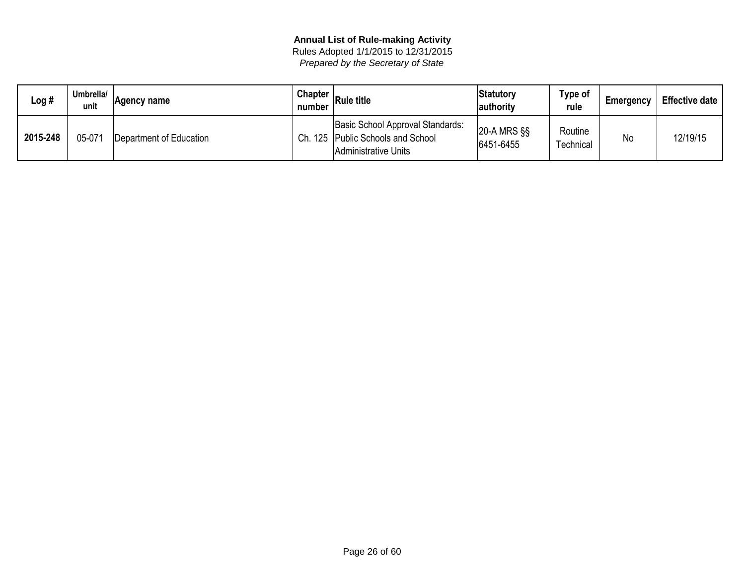| Log #    | Umbrella/<br>unit | Agency name             | <b>Chapter</b><br>number | <b>Rule title</b>                                                                           | <b>Statutory</b><br>authority | <b>Type of</b><br>rule | Emergency | <b>Effective date</b> |
|----------|-------------------|-------------------------|--------------------------|---------------------------------------------------------------------------------------------|-------------------------------|------------------------|-----------|-----------------------|
| 2015-248 | 05-071            | Department of Education | Ch.                      | Basic School Approval Standards:<br>. 125 Public Schools and School<br>Administrative Units | $ 20-A$ MRS $\S$<br>6451-6455 | Routine<br>Technical   | No        | 12/19/15              |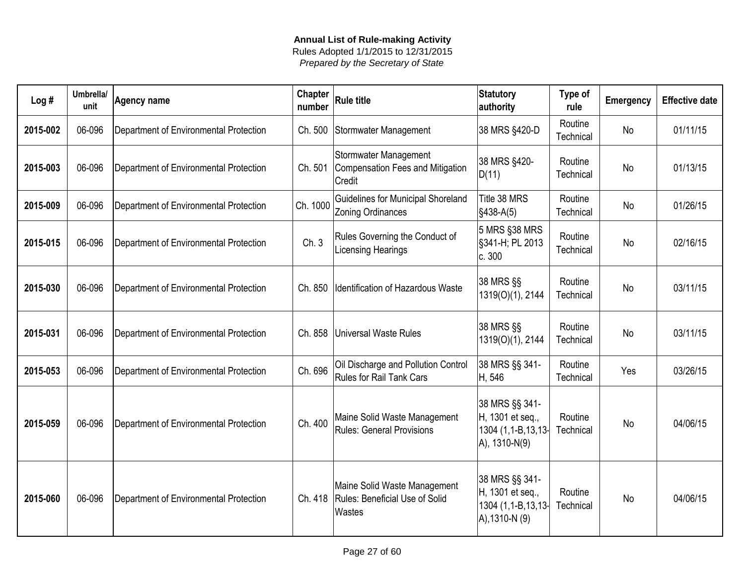| Log#     | Umbrella/<br>unit | <b>Agency name</b>                     | <b>Chapter</b><br>number | <b>Rule title</b>                                                                  | <b>Statutory</b><br>authority                                              | Type of<br>rule      | Emergency | <b>Effective date</b> |
|----------|-------------------|----------------------------------------|--------------------------|------------------------------------------------------------------------------------|----------------------------------------------------------------------------|----------------------|-----------|-----------------------|
| 2015-002 | 06-096            | Department of Environmental Protection | Ch. 500                  | Stormwater Management                                                              | 38 MRS §420-D                                                              | Routine<br>Technical | No        | 01/11/15              |
| 2015-003 | 06-096            | Department of Environmental Protection | Ch. 501                  | <b>Stormwater Management</b><br>Compensation Fees and Mitigation<br>Credit         | 38 MRS §420-<br>D(11)                                                      | Routine<br>Technical | <b>No</b> | 01/13/15              |
| 2015-009 | 06-096            | Department of Environmental Protection | Ch. 1000                 | Guidelines for Municipal Shoreland<br><b>Zoning Ordinances</b>                     | Title 38 MRS<br>$§438-A(5)$                                                | Routine<br>Technical | <b>No</b> | 01/26/15              |
| 2015-015 | 06-096            | Department of Environmental Protection | Ch. 3                    | Rules Governing the Conduct of<br><b>Licensing Hearings</b>                        | 5 MRS §38 MRS<br>§341-H; PL 2013<br> c.300                                 | Routine<br>Technical | <b>No</b> | 02/16/15              |
| 2015-030 | 06-096            | Department of Environmental Protection | Ch. 850                  | Identification of Hazardous Waste                                                  | 38 MRS §§<br>1319(O)(1), 2144                                              | Routine<br>Technical | <b>No</b> | 03/11/15              |
| 2015-031 | 06-096            | Department of Environmental Protection | Ch. 858                  | Universal Waste Rules                                                              | 38 MRS §§<br>1319(O)(1), 2144                                              | Routine<br>Technical | <b>No</b> | 03/11/15              |
| 2015-053 | 06-096            | Department of Environmental Protection | Ch. 696                  | Oil Discharge and Pollution Control<br><b>Rules for Rail Tank Cars</b>             | 38 MRS §§ 341-<br>H, 546                                                   | Routine<br>Technical | Yes       | 03/26/15              |
| 2015-059 | 06-096            | Department of Environmental Protection | Ch. 400                  | Maine Solid Waste Management<br><b>Rules: General Provisions</b>                   | 38 MRS §§ 341-<br>H, 1301 et seq.,<br>1304 (1,1-B,13,13-<br>A), 1310-N(9)  | Routine<br>Technical | <b>No</b> | 04/06/15              |
| 2015-060 | 06-096            | Department of Environmental Protection |                          | Maine Solid Waste Management<br>Ch. 418   Rules: Beneficial Use of Solid<br>Wastes | 38 MRS §§ 341-<br>H, 1301 et seq.,<br>1304 (1,1-B,13,13-<br>A), 1310-N (9) | Routine<br>Technical | <b>No</b> | 04/06/15              |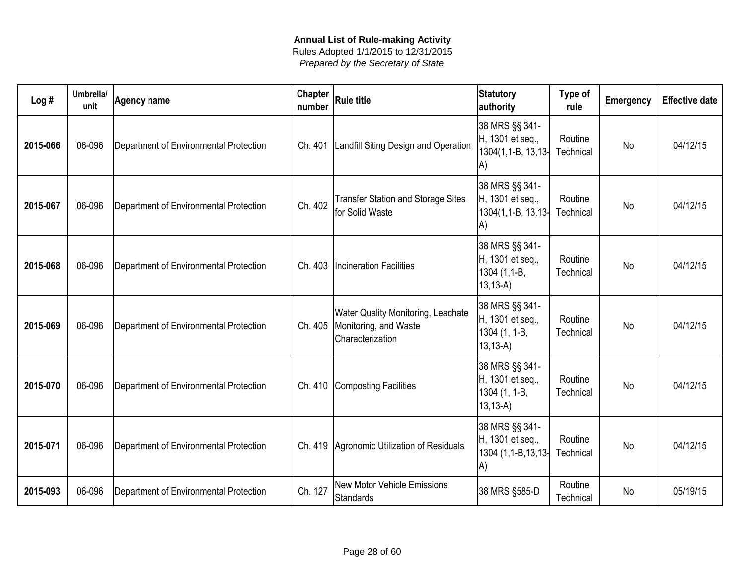| Log#     | Umbrella/<br>unit | <b>Agency name</b>                     | Chapter<br>number | <b>Rule title</b>                                                                      | <b>Statutory</b><br>authority                                        | Type of<br>rule      | <b>Emergency</b> | <b>Effective date</b> |
|----------|-------------------|----------------------------------------|-------------------|----------------------------------------------------------------------------------------|----------------------------------------------------------------------|----------------------|------------------|-----------------------|
| 2015-066 | 06-096            | Department of Environmental Protection | Ch. 401           | Landfill Siting Design and Operation                                                   | 38 MRS §§ 341-<br>H, 1301 et seq.,<br>$1304(1, 1 - B, 13, 13)$<br>A) | Routine<br>Technical | <b>No</b>        | 04/12/15              |
| 2015-067 | 06-096            | Department of Environmental Protection | Ch. 402           | <b>Transfer Station and Storage Sites</b><br>for Solid Waste                           | 38 MRS §§ 341-<br>H, 1301 et seq.,<br>1304(1,1-B, 13,13)<br>A)       | Routine<br>Technical | <b>No</b>        | 04/12/15              |
| 2015-068 | 06-096            | Department of Environmental Protection |                   | Ch. 403   Incineration Facilities                                                      | 38 MRS §§ 341-<br>H, 1301 et seq.,<br>1304 (1,1-B,<br>$13, 13-A$     | Routine<br>Technical | <b>No</b>        | 04/12/15              |
| 2015-069 | 06-096            | Department of Environmental Protection | Ch. 405           | <b>Water Quality Monitoring, Leachate</b><br>Monitoring, and Waste<br>Characterization | 38 MRS §§ 341-<br>H, 1301 et seq.,<br>1304 (1, 1-B,<br>$13, 13-A$    | Routine<br>Technical | <b>No</b>        | 04/12/15              |
| 2015-070 | 06-096            | Department of Environmental Protection |                   | Ch. 410 Composting Facilities                                                          | 38 MRS §§ 341-<br>H, 1301 et seq.,<br>1304 (1, 1-B,<br>$13, 13 - A$  | Routine<br>Technical | <b>No</b>        | 04/12/15              |
| 2015-071 | 06-096            | Department of Environmental Protection |                   | Ch. 419 Agronomic Utilization of Residuals                                             | 38 MRS §§ 341-<br>H, 1301 et seq.,<br>1304 (1,1-B,13,13)<br>A)       | Routine<br>Technical | <b>No</b>        | 04/12/15              |
| 2015-093 | 06-096            | Department of Environmental Protection | Ch. 127           | <b>New Motor Vehicle Emissions</b><br>Standards                                        | 38 MRS §585-D                                                        | Routine<br>Technical | <b>No</b>        | 05/19/15              |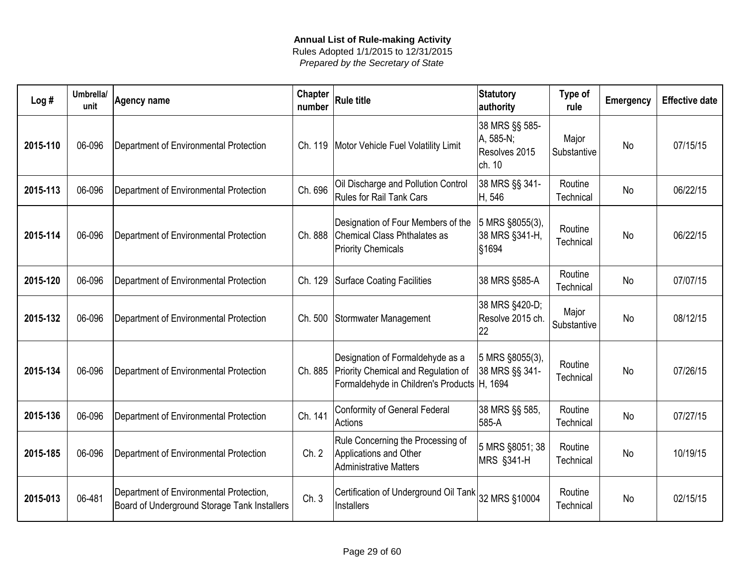| Log#     | Umbrella/<br>unit | <b>Agency name</b>                                                                      | <b>Chapter</b><br>number | <b>Rule title</b>                                                                                                      | <b>Statutory</b><br>authority                          | Type of<br>rule      | <b>Emergency</b> | <b>Effective date</b> |
|----------|-------------------|-----------------------------------------------------------------------------------------|--------------------------|------------------------------------------------------------------------------------------------------------------------|--------------------------------------------------------|----------------------|------------------|-----------------------|
| 2015-110 | 06-096            | Department of Environmental Protection                                                  | Ch. 119                  | Motor Vehicle Fuel Volatility Limit                                                                                    | 38 MRS §§ 585-<br>A, 585-N;<br>Resolves 2015<br>ch. 10 | Major<br>Substantive | No               | 07/15/15              |
| 2015-113 | 06-096            | Department of Environmental Protection                                                  | Ch. 696                  | Oil Discharge and Pollution Control<br><b>Rules for Rail Tank Cars</b>                                                 | 38 MRS §§ 341-<br>H, 546                               | Routine<br>Technical | <b>No</b>        | 06/22/15              |
| 2015-114 | 06-096            | Department of Environmental Protection                                                  | Ch. 888                  | Designation of Four Members of the<br>Chemical Class Phthalates as<br><b>Priority Chemicals</b>                        | 5 MRS §8055(3),<br>38 MRS §341-H,<br>§1694             | Routine<br>Technical | No               | 06/22/15              |
| 2015-120 | 06-096            | Department of Environmental Protection                                                  | Ch. 129                  | Surface Coating Facilities                                                                                             | 38 MRS §585-A                                          | Routine<br>Technical | <b>No</b>        | 07/07/15              |
| 2015-132 | 06-096            | Department of Environmental Protection                                                  | Ch. 500                  | Stormwater Management                                                                                                  | 38 MRS §420-D;<br>Resolve 2015 ch.<br>22               | Major<br>Substantive | <b>No</b>        | 08/12/15              |
| 2015-134 | 06-096            | Department of Environmental Protection                                                  | Ch. 885                  | Designation of Formaldehyde as a<br>Priority Chemical and Regulation of<br>Formaldehyde in Children's Products H, 1694 | 5 MRS §8055(3),<br>38 MRS §§ 341-                      | Routine<br>Technical | <b>No</b>        | 07/26/15              |
| 2015-136 | 06-096            | Department of Environmental Protection                                                  | Ch. 141                  | <b>Conformity of General Federal</b><br>Actions                                                                        | 38 MRS §§ 585,<br>585-A                                | Routine<br>Technical | <b>No</b>        | 07/27/15              |
| 2015-185 | 06-096            | Department of Environmental Protection                                                  | Ch. 2                    | Rule Concerning the Processing of<br>Applications and Other<br><b>Administrative Matters</b>                           | 5 MRS §8051; 38<br><b>MRS §341-H</b>                   | Routine<br>Technical | <b>No</b>        | 10/19/15              |
| 2015-013 | 06-481            | Department of Environmental Protection,<br>Board of Underground Storage Tank Installers | Ch.3                     | Certification of Underground Oil Tank<br>Installers                                                                    | 32 MRS §10004                                          | Routine<br>Technical | <b>No</b>        | 02/15/15              |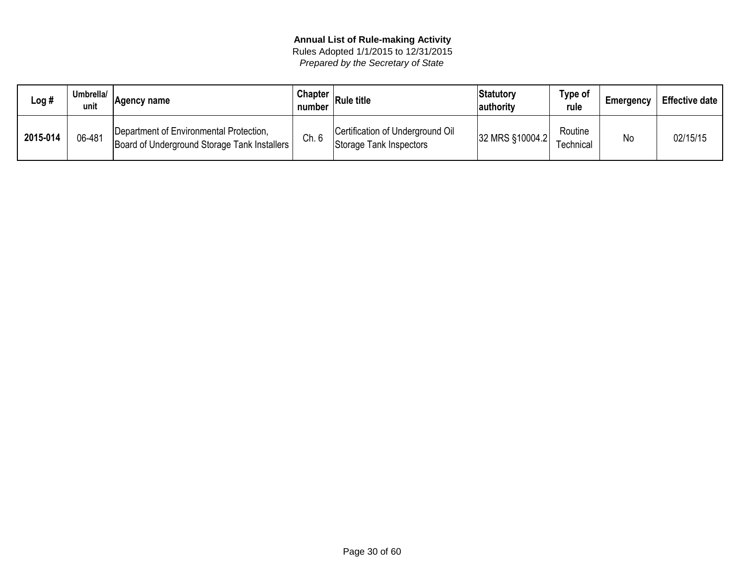| Log #    | Umbrella/ | ∣Aɑencv name                                                                            | <b>Chapter</b><br>number | <b>Rule title</b>                                           | Statutory<br> authority | Type of<br>rule            | <b>Emergency</b> | <b>Effective date</b> |
|----------|-----------|-----------------------------------------------------------------------------------------|--------------------------|-------------------------------------------------------------|-------------------------|----------------------------|------------------|-----------------------|
| 2015-014 | 06-481    | Department of Environmental Protection,<br>Board of Underground Storage Tank Installers | Ch. 6                    | Certification of Underground Oil<br>Storage Tank Inspectors | 32 MRS §10004.2         | Routine<br>$\tau$ echnical | <b>No</b>        | 02/15/15              |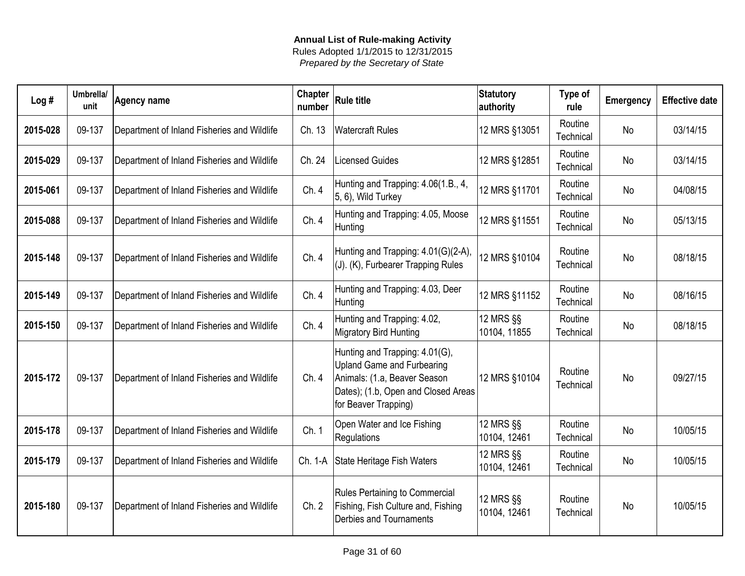| Log#     | Umbrella/<br>unit | <b>Agency name</b>                          | <b>Chapter</b><br>number | <b>Rule title</b>                                                                                                                                                  | <b>Statutory</b><br>authority | Type of<br>rule      | <b>Emergency</b> | <b>Effective date</b> |
|----------|-------------------|---------------------------------------------|--------------------------|--------------------------------------------------------------------------------------------------------------------------------------------------------------------|-------------------------------|----------------------|------------------|-----------------------|
| 2015-028 | 09-137            | Department of Inland Fisheries and Wildlife | Ch. 13                   | <b>Watercraft Rules</b>                                                                                                                                            | 12 MRS §13051                 | Routine<br>Technical | <b>No</b>        | 03/14/15              |
| 2015-029 | 09-137            | Department of Inland Fisheries and Wildlife | Ch. 24                   | <b>Licensed Guides</b>                                                                                                                                             | 12 MRS §12851                 | Routine<br>Technical | No               | 03/14/15              |
| 2015-061 | 09-137            | Department of Inland Fisheries and Wildlife | Ch. 4                    | Hunting and Trapping: 4.06(1.B., 4,<br>5, 6), Wild Turkey                                                                                                          | 12 MRS §11701                 | Routine<br>Technical | No               | 04/08/15              |
| 2015-088 | 09-137            | Department of Inland Fisheries and Wildlife | Ch. 4                    | Hunting and Trapping: 4.05, Moose<br>Hunting                                                                                                                       | 12 MRS §11551                 | Routine<br>Technical | <b>No</b>        | 05/13/15              |
| 2015-148 | 09-137            | Department of Inland Fisheries and Wildlife | Ch.4                     | Hunting and Trapping: 4.01(G)(2-A),<br>(J). (K), Furbearer Trapping Rules                                                                                          | 12 MRS §10104                 | Routine<br>Technical | <b>No</b>        | 08/18/15              |
| 2015-149 | 09-137            | Department of Inland Fisheries and Wildlife | Ch.4                     | Hunting and Trapping: 4.03, Deer<br>Hunting                                                                                                                        | 12 MRS §11152                 | Routine<br>Technical | <b>No</b>        | 08/16/15              |
| 2015-150 | 09-137            | Department of Inland Fisheries and Wildlife | Ch.4                     | Hunting and Trapping: 4.02,<br><b>Migratory Bird Hunting</b>                                                                                                       | 12 MRS §§<br>10104, 11855     | Routine<br>Technical | <b>No</b>        | 08/18/15              |
| 2015-172 | 09-137            | Department of Inland Fisheries and Wildlife | Ch.4                     | Hunting and Trapping: 4.01(G),<br><b>Upland Game and Furbearing</b><br>Animals: (1.a, Beaver Season<br>Dates); (1.b, Open and Closed Areas<br>for Beaver Trapping) | 12 MRS §10104                 | Routine<br>Technical | No               | 09/27/15              |
| 2015-178 | 09-137            | Department of Inland Fisheries and Wildlife | Ch. 1                    | Open Water and Ice Fishing<br>Regulations                                                                                                                          | 12 MRS §§<br>10104, 12461     | Routine<br>Technical | No               | 10/05/15              |
| 2015-179 | 09-137            | Department of Inland Fisheries and Wildlife | Ch. 1-A                  | State Heritage Fish Waters                                                                                                                                         | 12 MRS §§<br>10104, 12461     | Routine<br>Technical | <b>No</b>        | 10/05/15              |
| 2015-180 | 09-137            | Department of Inland Fisheries and Wildlife | Ch. 2                    | Rules Pertaining to Commercial<br>Fishing, Fish Culture and, Fishing<br>Derbies and Tournaments                                                                    | 12 MRS §§<br>10104, 12461     | Routine<br>Technical | <b>No</b>        | 10/05/15              |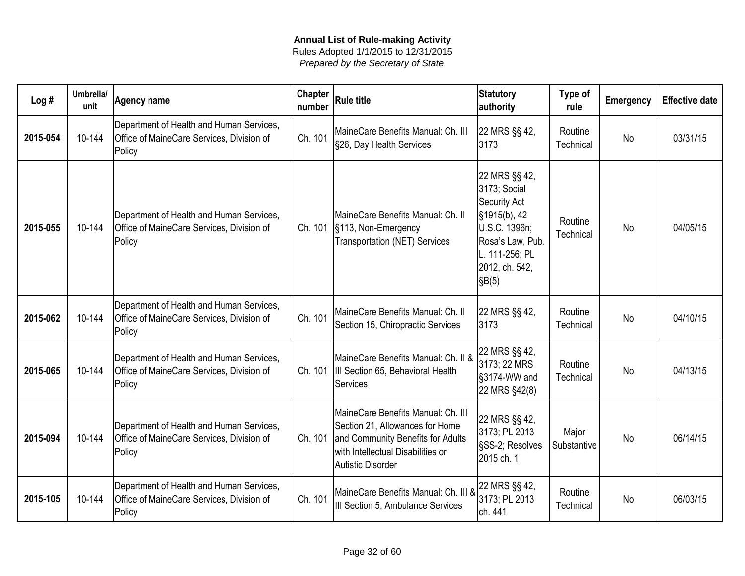| Log#     | Umbrella/<br>unit | <b>Agency name</b>                                                                              | <b>Chapter</b><br>number | <b>Rule title</b>                                                                                                                                                           | <b>Statutory</b><br>authority                                                                                                                                     | Type of<br>rule      | Emergency | <b>Effective date</b> |
|----------|-------------------|-------------------------------------------------------------------------------------------------|--------------------------|-----------------------------------------------------------------------------------------------------------------------------------------------------------------------------|-------------------------------------------------------------------------------------------------------------------------------------------------------------------|----------------------|-----------|-----------------------|
| 2015-054 | 10-144            | Department of Health and Human Services,<br>Office of MaineCare Services, Division of<br>Policy | Ch. 101                  | MaineCare Benefits Manual: Ch. III<br>§26, Day Health Services                                                                                                              | 22 MRS §§ 42,<br>3173                                                                                                                                             | Routine<br>Technical | <b>No</b> | 03/31/15              |
| 2015-055 | 10-144            | Department of Health and Human Services,<br>Office of MaineCare Services, Division of<br>Policy | Ch. 101                  | MaineCare Benefits Manual: Ch. II<br>§113, Non-Emergency<br><b>Transportation (NET) Services</b>                                                                            | 22 MRS §§ 42,<br>3173; Social<br>Security Act<br>$\frac{1}{3}$ 1915(b), 42<br>U.S.C. 1396n;<br>Rosa's Law, Pub.<br>L. 111-256; PL<br>2012, ch. 542,<br>$ \$B(5) $ | Routine<br>Technical | No        | 04/05/15              |
| 2015-062 | 10-144            | Department of Health and Human Services,<br>Office of MaineCare Services, Division of<br>Policy | Ch. 101                  | MaineCare Benefits Manual: Ch. II<br>Section 15, Chiropractic Services                                                                                                      | 22 MRS §§ 42,<br>3173                                                                                                                                             | Routine<br>Technical | No        | 04/10/15              |
| 2015-065 | 10-144            | Department of Health and Human Services,<br>Office of MaineCare Services, Division of<br>Policy | Ch. 101                  | MaineCare Benefits Manual: Ch. II &<br>III Section 65, Behavioral Health<br>Services                                                                                        | 22 MRS §§ 42,<br>3173; 22 MRS<br>§3174-WW and<br>22 MRS §42(8)                                                                                                    | Routine<br>Technical | <b>No</b> | 04/13/15              |
| 2015-094 | 10-144            | Department of Health and Human Services,<br>Office of MaineCare Services, Division of<br>Policy | Ch. 101                  | MaineCare Benefits Manual: Ch. III<br>Section 21, Allowances for Home<br>and Community Benefits for Adults<br>with Intellectual Disabilities or<br><b>Autistic Disorder</b> | 22 MRS §§ 42,<br>3173; PL 2013<br>SSS-2; Resolves<br>2015 ch. 1                                                                                                   | Major<br>Substantive | <b>No</b> | 06/14/15              |
| 2015-105 | 10-144            | Department of Health and Human Services,<br>Office of MaineCare Services, Division of<br>Policy | Ch. 101                  | MaineCare Benefits Manual: Ch. III &<br>III Section 5, Ambulance Services                                                                                                   | 22 MRS §§ 42,<br>3173; PL 2013<br>ch. 441                                                                                                                         | Routine<br>Technical | <b>No</b> | 06/03/15              |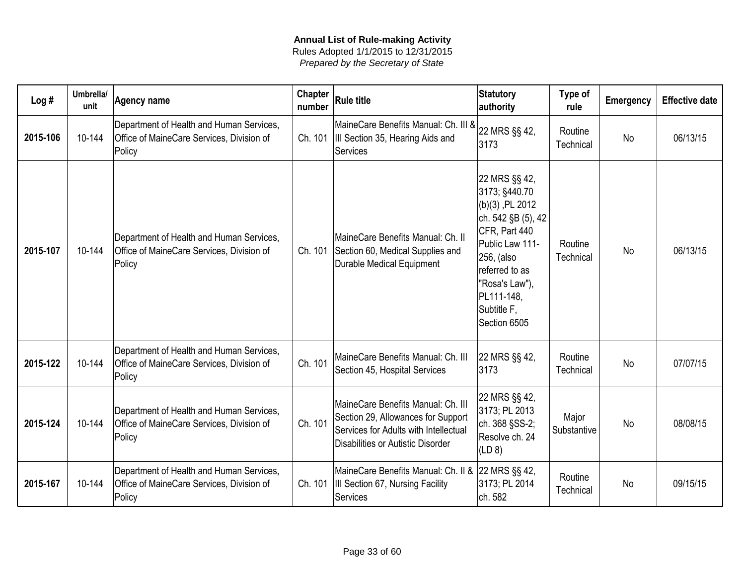| Log#     | Umbrella/<br>unit | <b>Agency name</b>                                                                              | Chapter<br>number | $ R$ ule title                                                                                                                                         | Statutory<br>authority                                                                                                                                                                                        | Type of<br>rule      | <b>Emergency</b> | <b>Effective date</b> |
|----------|-------------------|-------------------------------------------------------------------------------------------------|-------------------|--------------------------------------------------------------------------------------------------------------------------------------------------------|---------------------------------------------------------------------------------------------------------------------------------------------------------------------------------------------------------------|----------------------|------------------|-----------------------|
| 2015-106 | 10-144            | Department of Health and Human Services,<br>Office of MaineCare Services, Division of<br>Policy | Ch. 101           | MaineCare Benefits Manual: Ch. III & 22 MRS §§ 42,<br>III Section 35, Hearing Aids and<br>Services                                                     | 3173                                                                                                                                                                                                          | Routine<br>Technical | <b>No</b>        | 06/13/15              |
| 2015-107 | 10-144            | Department of Health and Human Services,<br>Office of MaineCare Services, Division of<br>Policy | Ch. 101           | MaineCare Benefits Manual: Ch. II<br>Section 60, Medical Supplies and<br>Durable Medical Equipment                                                     | 22 MRS §§ 42,<br>3173; §440.70<br>$(b)(3)$ , PL 2012<br>ch. 542 §B (5), 42<br>CFR, Part 440<br>Public Law 111-<br>256, (also<br>referred to as<br>"Rosa's Law"),<br>PL111-148,<br>Subtitle F,<br>Section 6505 | Routine<br>Technical | <b>No</b>        | 06/13/15              |
| 2015-122 | 10-144            | Department of Health and Human Services,<br>Office of MaineCare Services, Division of<br>Policy | Ch. 101           | MaineCare Benefits Manual: Ch. III<br>Section 45, Hospital Services                                                                                    | 22 MRS §§ 42,<br>3173                                                                                                                                                                                         | Routine<br>Technical | No               | 07/07/15              |
| 2015-124 | 10-144            | Department of Health and Human Services,<br>Office of MaineCare Services, Division of<br>Policy | Ch. 101           | MaineCare Benefits Manual: Ch. III<br>Section 29, Allowances for Support<br>Services for Adults with Intellectual<br>Disabilities or Autistic Disorder | 22 MRS §§ 42,<br>3173; PL 2013<br>ch. 368 §SS-2;<br>Resolve ch. 24<br>(LD 8)                                                                                                                                  | Major<br>Substantive | No               | 08/08/15              |
| 2015-167 | 10-144            | Department of Health and Human Services,<br>Office of MaineCare Services, Division of<br>Policy | Ch. 101           | MaineCare Benefits Manual: Ch. II & 22 MRS §§ 42,<br><b>III Section 67, Nursing Facility</b><br>Services                                               | 3173; PL 2014<br>ch. 582                                                                                                                                                                                      | Routine<br>Technical | No               | 09/15/15              |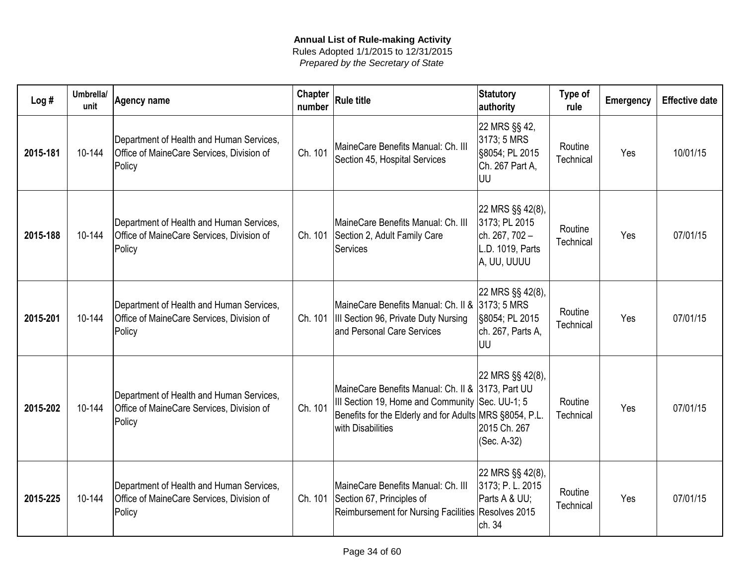| Log#     | Umbrella/<br>unit | <b>Agency name</b>                                                                              | Chapter<br>number | <b>Rule title</b>                                                                                                                                                                    | <b>Statutory</b><br>authority                                                          | Type of<br>rule      | <b>Emergency</b> | <b>Effective date</b> |
|----------|-------------------|-------------------------------------------------------------------------------------------------|-------------------|--------------------------------------------------------------------------------------------------------------------------------------------------------------------------------------|----------------------------------------------------------------------------------------|----------------------|------------------|-----------------------|
| 2015-181 | 10-144            | Department of Health and Human Services,<br>Office of MaineCare Services, Division of<br>Policy | Ch. 101           | MaineCare Benefits Manual: Ch. III<br>Section 45, Hospital Services                                                                                                                  | 22 MRS §§ 42,<br>3173; 5 MRS<br>§8054; PL 2015<br>Ch. 267 Part A,<br>UU                | Routine<br>Technical | Yes              | 10/01/15              |
| 2015-188 | 10-144            | Department of Health and Human Services,<br>Office of MaineCare Services, Division of<br>Policy |                   | MaineCare Benefits Manual: Ch. III<br>Ch. 101   Section 2, Adult Family Care<br>Services                                                                                             | 22 MRS §§ 42(8),<br>3173; PL 2015<br>ch. 267, 702 -<br>L.D. 1019, Parts<br>A, UU, UUUU | Routine<br>Technical | Yes              | 07/01/15              |
| 2015-201 | 10-144            | Department of Health and Human Services,<br>Office of MaineCare Services, Division of<br>Policy |                   | MaineCare Benefits Manual: Ch. II &<br>Ch. 101  III Section 96, Private Duty Nursing<br>and Personal Care Services                                                                   | 22 MRS §§ 42(8),<br>3173; 5 MRS<br>§8054; PL 2015<br>ch. 267, Parts A,<br>UU           | Routine<br>Technical | Yes              | 07/01/15              |
| 2015-202 | 10-144            | Department of Health and Human Services,<br>Office of MaineCare Services, Division of<br>Policy | Ch. 101           | MaineCare Benefits Manual: Ch. II & 3173, Part UU<br>III Section 19, Home and Community Sec. UU-1; 5<br>Benefits for the Elderly and for Adults MRS §8054, P.L.<br>with Disabilities | 22 MRS §§ 42(8),<br>2015 Ch. 267<br>(Sec. A-32)                                        | Routine<br>Technical | Yes              | 07/01/15              |
| 2015-225 | 10-144            | Department of Health and Human Services,<br>Office of MaineCare Services, Division of<br>Policy |                   | MaineCare Benefits Manual: Ch. III<br>Ch. 101 Section 67, Principles of<br>Reimbursement for Nursing Facilities Resolves 2015                                                        | 22 MRS §§ 42(8),<br>3173; P. L. 2015<br>Parts A & UU;<br>ch. 34                        | Routine<br>Technical | Yes              | 07/01/15              |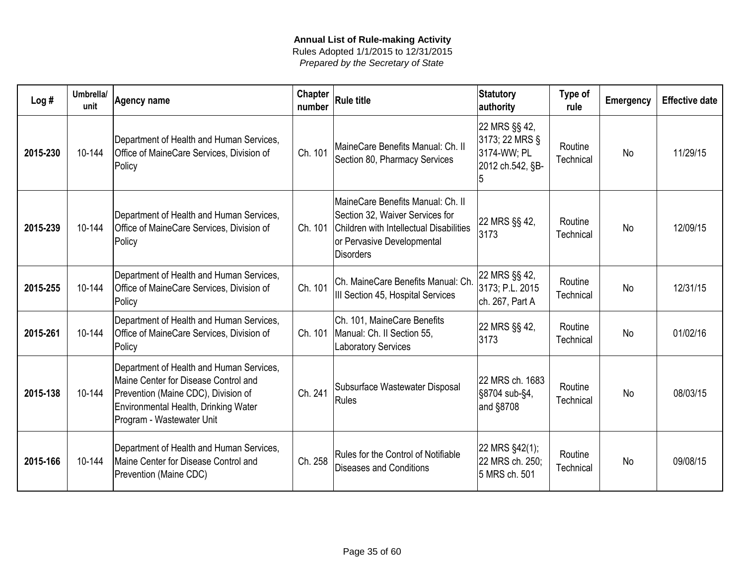| Log#     | Umbrella/<br>unit | <b>Agency name</b>                                                                                                                                                                           | Chapter<br>number | <b>Rule title</b>                                                                                                                                                 | Statutory<br>authority                                             | Type of<br>rule      | <b>Emergency</b> | <b>Effective date</b> |
|----------|-------------------|----------------------------------------------------------------------------------------------------------------------------------------------------------------------------------------------|-------------------|-------------------------------------------------------------------------------------------------------------------------------------------------------------------|--------------------------------------------------------------------|----------------------|------------------|-----------------------|
| 2015-230 | 10-144            | Department of Health and Human Services,<br>Office of MaineCare Services, Division of<br>Policy                                                                                              | Ch. 101           | MaineCare Benefits Manual: Ch. II<br>Section 80, Pharmacy Services                                                                                                | 22 MRS §§ 42,<br>3173; 22 MRS §<br>3174-WW; PL<br>2012 ch.542, §B- | Routine<br>Technical | <b>No</b>        | 11/29/15              |
| 2015-239 | 10-144            | Department of Health and Human Services,<br>Office of MaineCare Services, Division of<br>Policy                                                                                              | Ch. 101           | MaineCare Benefits Manual: Ch. II<br>Section 32, Waiver Services for<br>Children with Intellectual Disabilities<br>or Pervasive Developmental<br><b>Disorders</b> | 22 MRS §§ 42,<br>3173                                              | Routine<br>Technical | <b>No</b>        | 12/09/15              |
| 2015-255 | 10-144            | Department of Health and Human Services,<br>Office of MaineCare Services, Division of<br>Policy                                                                                              | Ch. 101           | Ch. MaineCare Benefits Manual: Ch<br>III Section 45, Hospital Services                                                                                            | 22 MRS §§ 42,<br>3173; P.L. 2015<br>ch. 267, Part A                | Routine<br>Technical | <b>No</b>        | 12/31/15              |
| 2015-261 | 10-144            | Department of Health and Human Services,<br>Office of MaineCare Services, Division of<br>Policy                                                                                              | Ch. 101           | Ch. 101, MaineCare Benefits<br>Manual: Ch. II Section 55,<br><b>Laboratory Services</b>                                                                           | 22 MRS §§ 42,<br>3173                                              | Routine<br>Technical | <b>No</b>        | 01/02/16              |
| 2015-138 | 10-144            | Department of Health and Human Services,<br>Maine Center for Disease Control and<br>Prevention (Maine CDC), Division of<br>Environmental Health, Drinking Water<br>Program - Wastewater Unit | Ch. 241           | Subsurface Wastewater Disposal<br>Rules                                                                                                                           | 22 MRS ch. 1683<br>§8704 sub-§4,<br>and §8708                      | Routine<br>Technical | <b>No</b>        | 08/03/15              |
| 2015-166 | 10-144            | Department of Health and Human Services,<br>Maine Center for Disease Control and<br>Prevention (Maine CDC)                                                                                   | Ch. 258           | Rules for the Control of Notifiable<br>Diseases and Conditions                                                                                                    | 22 MRS §42(1);<br>22 MRS ch. 250;<br>5 MRS ch. 501                 | Routine<br>Technical | <b>No</b>        | 09/08/15              |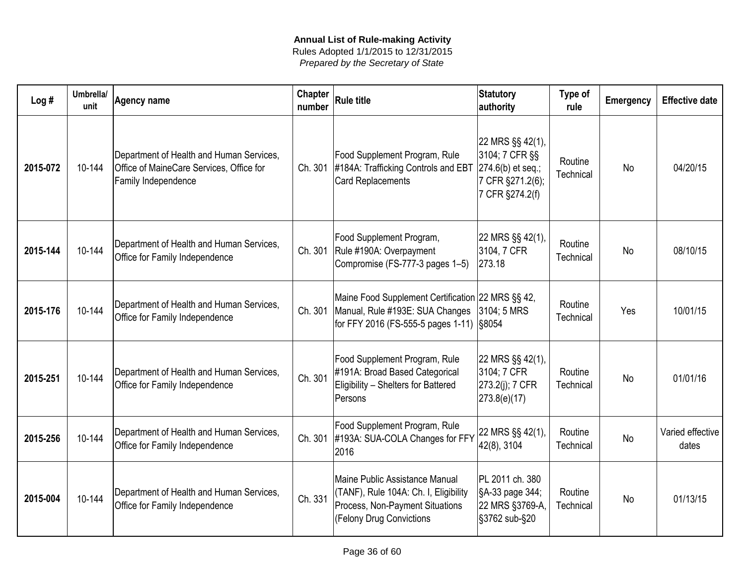| Log#     | Umbrella/<br>unit | <b>Agency name</b>                                                                                          | <b>Chapter</b><br>number | <b>Rule title</b>                                                                                                                      | Statutory<br>authority                                                                            | Type of<br>rule      | Emergency | <b>Effective date</b>     |
|----------|-------------------|-------------------------------------------------------------------------------------------------------------|--------------------------|----------------------------------------------------------------------------------------------------------------------------------------|---------------------------------------------------------------------------------------------------|----------------------|-----------|---------------------------|
| 2015-072 | 10-144            | Department of Health and Human Services,<br>Office of MaineCare Services, Office for<br>Family Independence | Ch. 301                  | Food Supplement Program, Rule<br>#184A: Trafficking Controls and EBT<br><b>Card Replacements</b>                                       | 22 MRS §§ 42(1),<br>3104; 7 CFR §§<br>$ 274.6(b)$ et seq.;<br>7 CFR §271.2(6);<br>7 CFR §274.2(f) | Routine<br>Technical | <b>No</b> | 04/20/15                  |
| 2015-144 | 10-144            | Department of Health and Human Services,<br>Office for Family Independence                                  | Ch. 301                  | Food Supplement Program,<br>Rule #190A: Overpayment<br>Compromise (FS-777-3 pages 1-5)                                                 | 22 MRS §§ 42(1),<br>3104, 7 CFR<br>273.18                                                         | Routine<br>Technical | <b>No</b> | 08/10/15                  |
| 2015-176 | 10-144            | Department of Health and Human Services,<br>Office for Family Independence                                  | Ch. 301                  | Maine Food Supplement Certification 22 MRS §§ 42,<br>Manual, Rule #193E: SUA Changes<br>for FFY 2016 (FS-555-5 pages 1-11) \\$8054     | 3104; 5 MRS                                                                                       | Routine<br>Technical | Yes       | 10/01/15                  |
| 2015-251 | 10-144            | Department of Health and Human Services,<br>Office for Family Independence                                  | Ch. 301                  | Food Supplement Program, Rule<br>#191A: Broad Based Categorical<br>Eligibility - Shelters for Battered<br>Persons                      | 22 MRS §§ 42(1),<br>3104; 7 CFR<br>273.2(j); 7 CFR<br>273.8(e)(17)                                | Routine<br>Technical | <b>No</b> | 01/01/16                  |
| 2015-256 | 10-144            | Department of Health and Human Services,<br>Office for Family Independence                                  | Ch. 301                  | Food Supplement Program, Rule<br>#193A: SUA-COLA Changes for FFY<br>2016                                                               | 22 MRS §§ 42(1),<br>42(8), 3104                                                                   | Routine<br>Technical | <b>No</b> | Varied effective<br>dates |
| 2015-004 | 10-144            | Department of Health and Human Services,<br>Office for Family Independence                                  | Ch. 331                  | Maine Public Assistance Manual<br>(TANF), Rule 104A: Ch. I, Eligibility<br>Process, Non-Payment Situations<br>(Felony Drug Convictions | PL 2011 ch. 380<br>SA-33 page 344;<br>22 MRS §3769-A,<br>§3762 sub-§20                            | Routine<br>Technical | <b>No</b> | 01/13/15                  |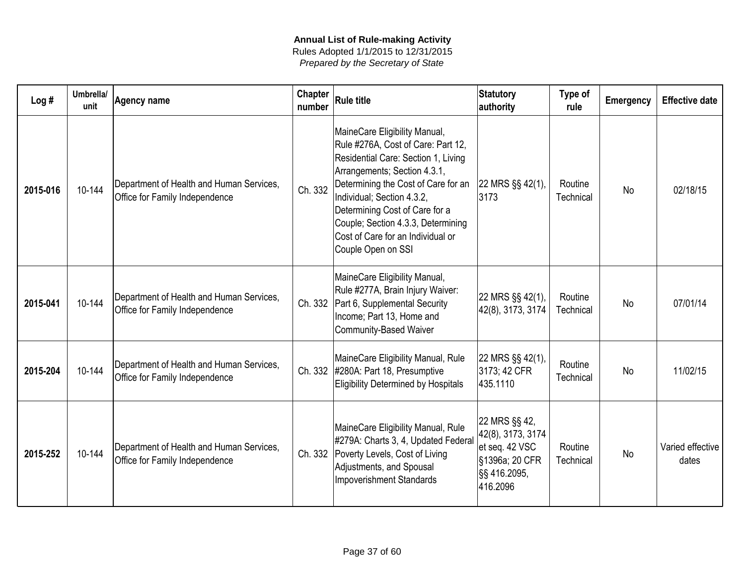| Log#     | Umbrella/<br>unit | <b>Agency name</b>                                                         | <b>Chapter</b><br>number | <b>Rule title</b>                                                                                                                                                                                                                                                                                                                                  | <b>Statutory</b><br>authority                                                                      | Type of<br>rule      | Emergency | <b>Effective date</b>     |
|----------|-------------------|----------------------------------------------------------------------------|--------------------------|----------------------------------------------------------------------------------------------------------------------------------------------------------------------------------------------------------------------------------------------------------------------------------------------------------------------------------------------------|----------------------------------------------------------------------------------------------------|----------------------|-----------|---------------------------|
| 2015-016 | 10-144            | Department of Health and Human Services,<br>Office for Family Independence | Ch. 332                  | MaineCare Eligibility Manual,<br>Rule #276A, Cost of Care: Part 12,<br>Residential Care: Section 1, Living<br>Arrangements; Section 4.3.1,<br>Determining the Cost of Care for an<br>Individual; Section 4.3.2,<br>Determining Cost of Care for a<br>Couple; Section 4.3.3, Determining<br>Cost of Care for an Individual or<br>Couple Open on SSI | 22 MRS §§ 42(1),<br>3173                                                                           | Routine<br>Technical | <b>No</b> | 02/18/15                  |
| 2015-041 | 10-144            | Department of Health and Human Services,<br>Office for Family Independence |                          | MaineCare Eligibility Manual,<br>Rule #277A, Brain Injury Waiver:<br>Ch. 332   Part 6, Supplemental Security<br>Income; Part 13, Home and<br><b>Community-Based Waiver</b>                                                                                                                                                                         | 22 MRS §§ 42(1),<br>42(8), 3173, 3174                                                              | Routine<br>Technical | <b>No</b> | 07/01/14                  |
| 2015-204 | 10-144            | Department of Health and Human Services,<br>Office for Family Independence |                          | MaineCare Eligibility Manual, Rule<br>Ch. 332 #280A: Part 18, Presumptive<br><b>Eligibility Determined by Hospitals</b>                                                                                                                                                                                                                            | 22 MRS §§ 42(1),<br>3173; 42 CFR<br>435.1110                                                       | Routine<br>Technical | <b>No</b> | 11/02/15                  |
| 2015-252 | 10-144            | Department of Health and Human Services,<br>Office for Family Independence | Ch. 332                  | MaineCare Eligibility Manual, Rule<br>#279A: Charts 3, 4, Updated Federal<br>Poverty Levels, Cost of Living<br>Adjustments, and Spousal<br><b>Impoverishment Standards</b>                                                                                                                                                                         | 22 MRS §§ 42,<br>42(8), 3173, 3174<br>et seq. 42 VSC<br>§1396a; 20 CFR<br>§§ 416.2095,<br>416.2096 | Routine<br>Technical | <b>No</b> | Varied effective<br>dates |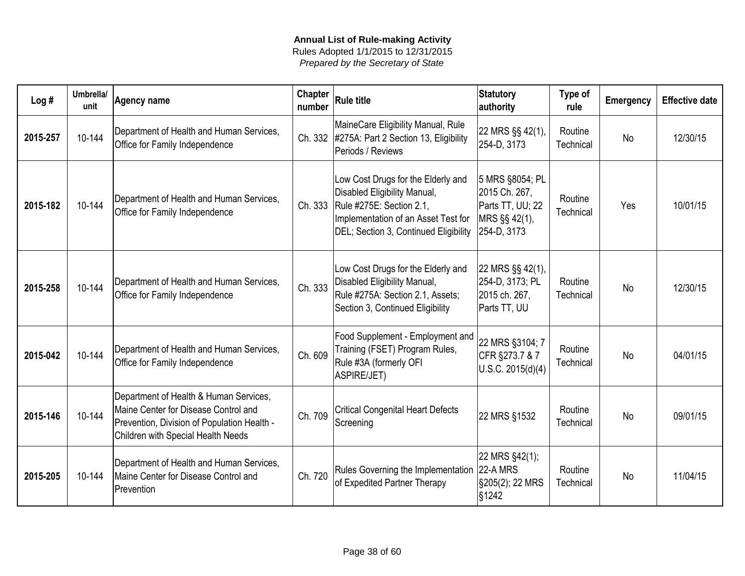| Log#     | Umbrella/<br>unit | <b>Agency name</b>                                                                                                                                                  | <b>Chapter</b><br>number | <b>Rule title</b>                                                                                                                                                              | <b>Statutory</b><br>authority                                                        | Type of<br>rule      | <b>Emergency</b> | <b>Effective date</b> |
|----------|-------------------|---------------------------------------------------------------------------------------------------------------------------------------------------------------------|--------------------------|--------------------------------------------------------------------------------------------------------------------------------------------------------------------------------|--------------------------------------------------------------------------------------|----------------------|------------------|-----------------------|
| 2015-257 | 10-144            | Department of Health and Human Services,<br>Office for Family Independence                                                                                          |                          | MaineCare Eligibility Manual, Rule<br>Ch. 332 #275A: Part 2 Section 13, Eligibility<br>Periods / Reviews                                                                       | 22 MRS §§ 42(1),<br>254-D, 3173                                                      | Routine<br>Technical | <b>No</b>        | 12/30/15              |
| 2015-182 | 10-144            | Department of Health and Human Services,<br>Office for Family Independence                                                                                          | Ch. 333                  | Low Cost Drugs for the Elderly and<br>Disabled Eligibility Manual,<br>Rule #275E: Section 2.1,<br>Implementation of an Asset Test for<br>DEL; Section 3, Continued Eligibility | 5 MRS §8054; PL<br>2015 Ch. 267,<br>Parts TT, UU; 22<br>MRS §§ 42(1),<br>254-D, 3173 | Routine<br>Technical | Yes              | 10/01/15              |
| 2015-258 | 10-144            | Department of Health and Human Services,<br>Office for Family Independence                                                                                          | Ch. 333                  | Low Cost Drugs for the Elderly and<br>Disabled Eligibility Manual,<br>Rule #275A: Section 2.1, Assets;<br>Section 3, Continued Eligibility                                     | 22 MRS §§ 42(1),<br>254-D, 3173; PL<br>2015 ch. 267,<br>Parts TT, UU                 | Routine<br>Technical | <b>No</b>        | 12/30/15              |
| 2015-042 | 10-144            | Department of Health and Human Services,<br>Office for Family Independence                                                                                          | Ch. 609                  | Food Supplement - Employment and<br>Training (FSET) Program Rules,<br>Rule #3A (formerly OFI<br><b>ASPIRE/JET)</b>                                                             | 22 MRS §3104; 7<br>CFR §273.7 & 7<br>U.S.C. 2015(d)(4)                               | Routine<br>Technical | <b>No</b>        | 04/01/15              |
| 2015-146 | 10-144            | Department of Health & Human Services,<br>Maine Center for Disease Control and<br>Prevention, Division of Population Health -<br>Children with Special Health Needs | Ch. 709                  | <b>Critical Congenital Heart Defects</b><br>Screening                                                                                                                          | 22 MRS §1532                                                                         | Routine<br>Technical | <b>No</b>        | 09/01/15              |
| 2015-205 | 10-144            | Department of Health and Human Services,<br>Maine Center for Disease Control and<br>Prevention                                                                      | Ch. 720                  | Rules Governing the Implementation<br>of Expedited Partner Therapy                                                                                                             | 22 MRS §42(1);<br>$ 22-A$ MRS<br>§205(2); 22 MRS<br>§1242                            | Routine<br>Technical | <b>No</b>        | 11/04/15              |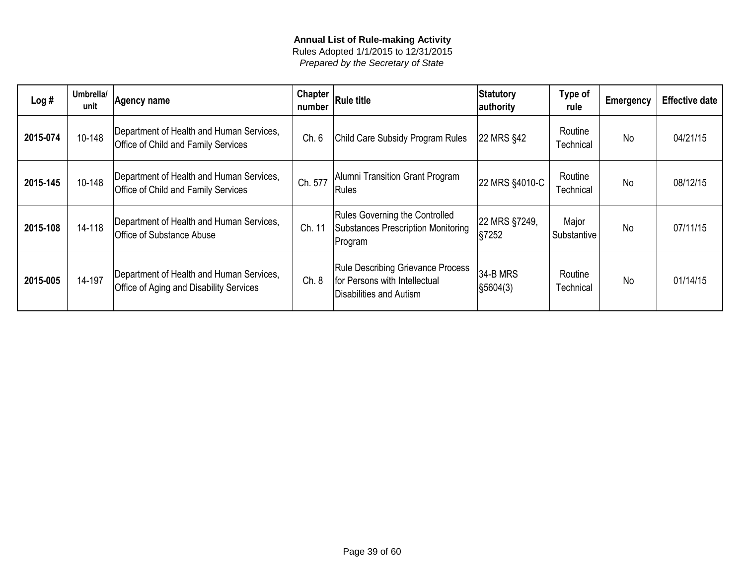| Log#     | Umbrella/<br>unit | Agency name                                                                                | <b>Chapter</b><br>number | <b>Rule title</b>                                                                                    | Statutory<br>authority    | Type of<br>rule      | <b>Emergency</b> | <b>Effective date</b> |
|----------|-------------------|--------------------------------------------------------------------------------------------|--------------------------|------------------------------------------------------------------------------------------------------|---------------------------|----------------------|------------------|-----------------------|
| 2015-074 | 10-148            | Department of Health and Human Services,<br><b>Office of Child and Family Services</b>     | Ch. 6                    | Child Care Subsidy Program Rules                                                                     | 22 MRS §42                | Routine<br>Technical | No               | 04/21/15              |
| 2015-145 | 10-148            | Department of Health and Human Services,<br><b>Office of Child and Family Services</b>     | Ch. 577                  | Alumni Transition Grant Program<br>Rules                                                             | 22 MRS §4010-C            | Routine<br>Technical | No               | 08/12/15              |
| 2015-108 | 14-118            | Department of Health and Human Services,<br><b>Office of Substance Abuse</b>               | Ch. 11                   | <b>Rules Governing the Controlled</b><br>Substances Prescription Monitoring<br>Program               | 22 MRS §7249,<br>$\S7252$ | Major<br>Substantive | <b>No</b>        | 07/11/15              |
| 2015-005 | 14-197            | Department of Health and Human Services,<br><b>Office of Aging and Disability Services</b> | Ch. 8                    | <b>Rule Describing Grievance Process</b><br>for Persons with Intellectual<br>Disabilities and Autism | 34-B MRS<br> §5604(3)     | Routine<br>Technical | No               | 01/14/15              |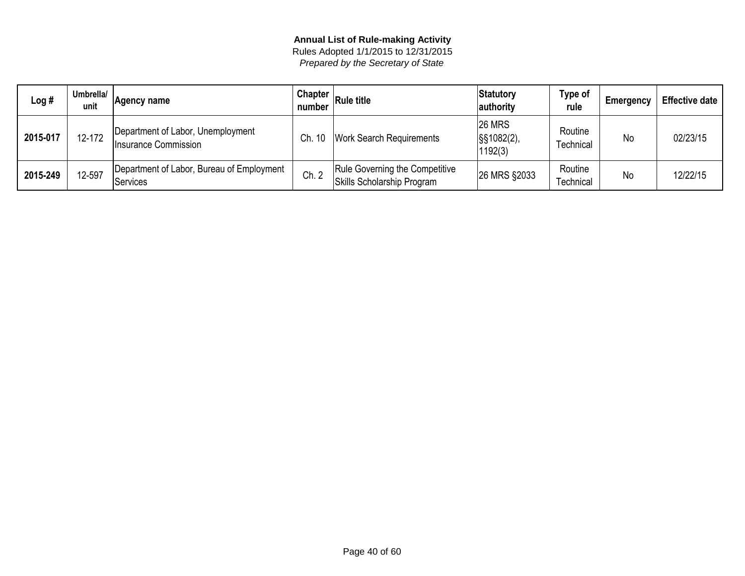| Log #    | Umbrella/<br>unit | Agency name                                                  | Chapter $ $<br>number | <b>Rule title</b>                                            | Statutory<br>authority                 | Type of<br>rule      | Emergency | <b>Effective date</b> |
|----------|-------------------|--------------------------------------------------------------|-----------------------|--------------------------------------------------------------|----------------------------------------|----------------------|-----------|-----------------------|
| 2015-017 | 12-172            | Department of Labor, Unemployment<br>Insurance Commission    | -10<br>Ch.            | <b>Work Search Requirements</b>                              | <b>26 MRS</b><br>S§1082(2),<br>1192(3) | Routine<br>Technical | <b>No</b> | 02/23/15              |
| 2015-249 | 12-597            | Department of Labor, Bureau of Employment<br><b>Services</b> | Ch. 2                 | Rule Governing the Competitive<br>Skills Scholarship Program | 26 MRS §2033                           | Routine<br>Technical | <b>No</b> | 12/22/15              |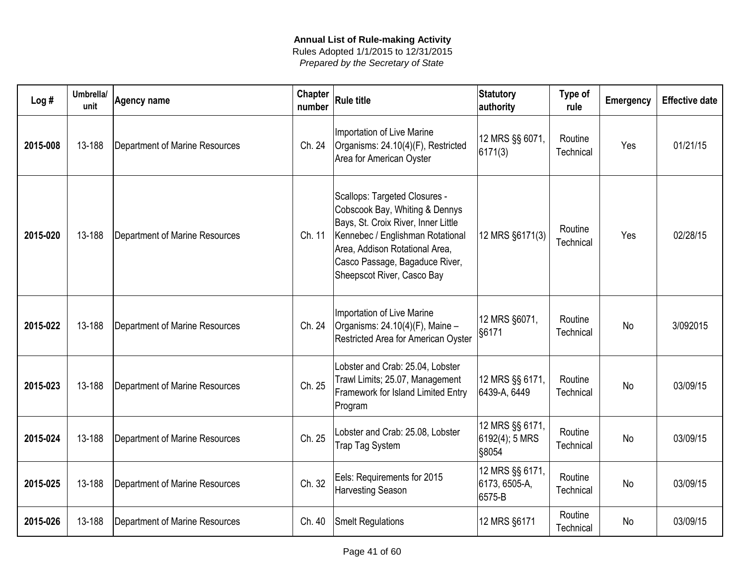| Log#     | Umbrella/<br>unit | <b>Agency name</b>             | Chapter<br>number | <b>Rule title</b>                                                                                                                                                                                                                            | <b>Statutory</b><br>authority              | Type of<br>rule      | <b>Emergency</b> | <b>Effective date</b> |
|----------|-------------------|--------------------------------|-------------------|----------------------------------------------------------------------------------------------------------------------------------------------------------------------------------------------------------------------------------------------|--------------------------------------------|----------------------|------------------|-----------------------|
| 2015-008 | 13-188            | Department of Marine Resources | Ch. 24            | Importation of Live Marine<br>Organisms: 24.10(4)(F), Restricted<br>Area for American Oyster                                                                                                                                                 | 12 MRS §§ 6071,<br>6171(3)                 | Routine<br>Technical | Yes              | 01/21/15              |
| 2015-020 | 13-188            | Department of Marine Resources | Ch. 11            | Scallops: Targeted Closures -<br>Cobscook Bay, Whiting & Dennys<br>Bays, St. Croix River, Inner Little<br>Kennebec / Englishman Rotational<br>Area, Addison Rotational Area,<br>Casco Passage, Bagaduce River,<br>Sheepscot River, Casco Bay | 12 MRS §6171(3)                            | Routine<br>Technical | Yes              | 02/28/15              |
| 2015-022 | 13-188            | Department of Marine Resources | Ch. 24            | Importation of Live Marine<br>Organisms: $24.10(4)$ (F), Maine -<br>Restricted Area for American Oyster                                                                                                                                      | 12 MRS §6071,<br>§6171                     | Routine<br>Technical | <b>No</b>        | 3/092015              |
| 2015-023 | 13-188            | Department of Marine Resources | Ch. 25            | Lobster and Crab: 25.04, Lobster<br>Trawl Limits; 25.07, Management<br>Framework for Island Limited Entry<br>Program                                                                                                                         | 12 MRS §§ 6171,<br>6439-A, 6449            | Routine<br>Technical | <b>No</b>        | 03/09/15              |
| 2015-024 | 13-188            | Department of Marine Resources | Ch. 25            | Lobster and Crab: 25.08, Lobster<br><b>Trap Tag System</b>                                                                                                                                                                                   | 12 MRS §§ 6171,<br>6192(4); 5 MRS<br>S8054 | Routine<br>Technical | <b>No</b>        | 03/09/15              |
| 2015-025 | 13-188            | Department of Marine Resources | Ch. 32            | Eels: Requirements for 2015<br><b>Harvesting Season</b>                                                                                                                                                                                      | 12 MRS §§ 6171,<br>6173, 6505-A,<br>6575-B | Routine<br>Technical | <b>No</b>        | 03/09/15              |
| 2015-026 | 13-188            | Department of Marine Resources | Ch. 40            | <b>Smelt Regulations</b>                                                                                                                                                                                                                     | 12 MRS §6171                               | Routine<br>Technical | No               | 03/09/15              |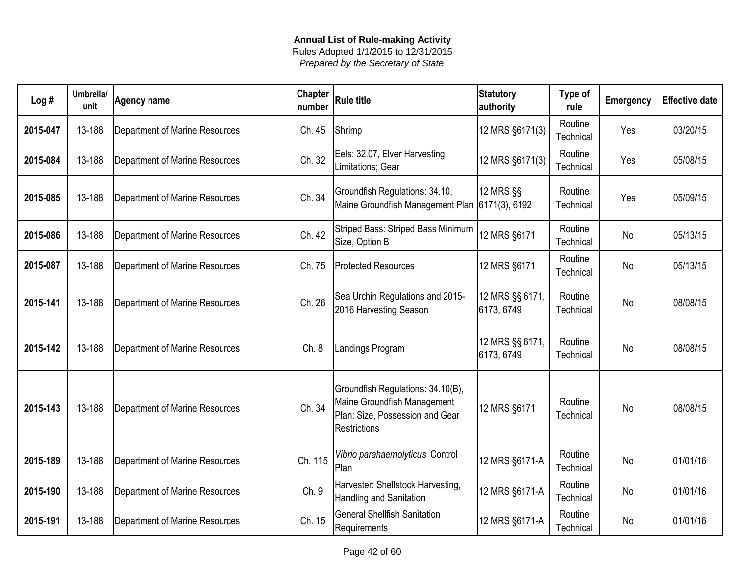| Log#     | Umbrella/<br>unit | <b>Agency name</b>                    | Chapter<br>number | <b>Rule title</b>                                                                                                          | <b>Statutory</b><br>authority | Type of<br>rule      | Emergency | <b>Effective date</b> |
|----------|-------------------|---------------------------------------|-------------------|----------------------------------------------------------------------------------------------------------------------------|-------------------------------|----------------------|-----------|-----------------------|
| 2015-047 | 13-188            | <b>Department of Marine Resources</b> | Ch. 45            | Shrimp                                                                                                                     | 12 MRS §6171(3)               | Routine<br>Technical | Yes       | 03/20/15              |
| 2015-084 | 13-188            | <b>Department of Marine Resources</b> | Ch. 32            | Eels: 32.07, Elver Harvesting<br>Limitations; Gear                                                                         | 12 MRS §6171(3)               | Routine<br>Technical | Yes       | 05/08/15              |
| 2015-085 | 13-188            | Department of Marine Resources        | Ch. 34            | Groundfish Regulations: 34.10,<br>Maine Groundfish Management Plan 6171(3), 6192                                           | 12 MRS §§                     | Routine<br>Technical | Yes       | 05/09/15              |
| 2015-086 | 13-188            | Department of Marine Resources        | Ch. 42            | Striped Bass: Striped Bass Minimum<br>Size, Option B                                                                       | 12 MRS §6171                  | Routine<br>Technical | <b>No</b> | 05/13/15              |
| 2015-087 | 13-188            | Department of Marine Resources        | Ch. 75            | <b>Protected Resources</b>                                                                                                 | 12 MRS §6171                  | Routine<br>Technical | <b>No</b> | 05/13/15              |
| 2015-141 | 13-188            | Department of Marine Resources        | Ch. 26            | Sea Urchin Regulations and 2015-<br>2016 Harvesting Season                                                                 | 12 MRS §§ 6171,<br>6173, 6749 | Routine<br>Technical | <b>No</b> | 08/08/15              |
| 2015-142 | 13-188            | Department of Marine Resources        | Ch.8              | Landings Program                                                                                                           | 12 MRS §§ 6171,<br>6173, 6749 | Routine<br>Technical | <b>No</b> | 08/08/15              |
| 2015-143 | 13-188            | <b>Department of Marine Resources</b> | Ch. 34            | Groundfish Regulations: 34.10(B),<br>Maine Groundfish Management<br>Plan: Size, Possession and Gear<br><b>Restrictions</b> | 12 MRS §6171                  | Routine<br>Technical | <b>No</b> | 08/08/15              |
| 2015-189 | 13-188            | Department of Marine Resources        | Ch. 115           | Vibrio parahaemolyticus Control<br>Plan                                                                                    | 12 MRS §6171-A                | Routine<br>Technical | <b>No</b> | 01/01/16              |
| 2015-190 | 13-188            | Department of Marine Resources        | Ch. 9             | Harvester: Shellstock Harvesting,<br>Handling and Sanitation                                                               | 12 MRS §6171-A                | Routine<br>Technical | <b>No</b> | 01/01/16              |
| 2015-191 | 13-188            | Department of Marine Resources        | Ch. 15            | <b>General Shellfish Sanitation</b><br>Requirements                                                                        | 12 MRS §6171-A                | Routine<br>Technical | <b>No</b> | 01/01/16              |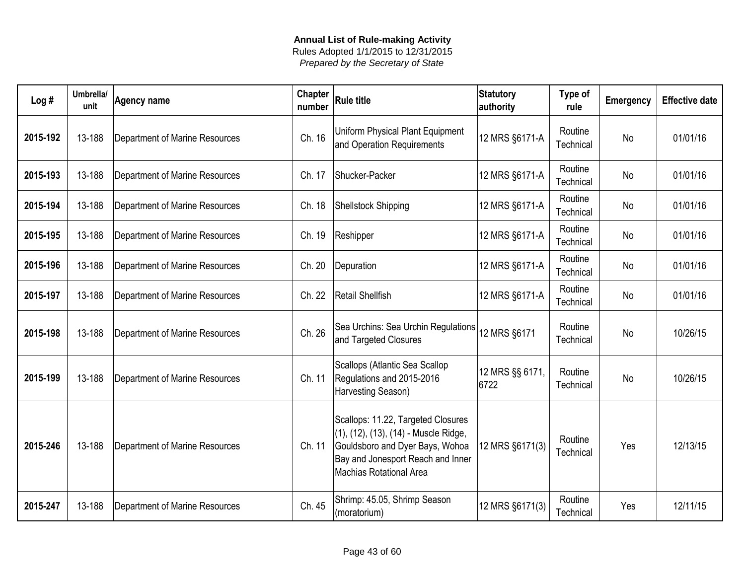| Log#     | Umbrella/<br>unit | <b>Agency name</b>             | <b>Chapter</b><br>number | <b>Rule title</b>                                                                                                                                                                     | Statutory<br>authority  | Type of<br>rule      | <b>Emergency</b> | <b>Effective date</b> |
|----------|-------------------|--------------------------------|--------------------------|---------------------------------------------------------------------------------------------------------------------------------------------------------------------------------------|-------------------------|----------------------|------------------|-----------------------|
| 2015-192 | 13-188            | Department of Marine Resources | Ch. 16                   | Uniform Physical Plant Equipment<br>and Operation Requirements                                                                                                                        | 12 MRS §6171-A          | Routine<br>Technical | <b>No</b>        | 01/01/16              |
| 2015-193 | 13-188            | Department of Marine Resources | Ch. 17                   | Shucker-Packer                                                                                                                                                                        | 12 MRS §6171-A          | Routine<br>Technical | No               | 01/01/16              |
| 2015-194 | 13-188            | Department of Marine Resources | Ch. 18                   | Shellstock Shipping                                                                                                                                                                   | 12 MRS §6171-A          | Routine<br>Technical | No               | 01/01/16              |
| 2015-195 | 13-188            | Department of Marine Resources | Ch. 19                   | Reshipper                                                                                                                                                                             | 12 MRS §6171-A          | Routine<br>Technical | <b>No</b>        | 01/01/16              |
| 2015-196 | 13-188            | Department of Marine Resources | Ch. 20                   | Depuration                                                                                                                                                                            | 12 MRS §6171-A          | Routine<br>Technical | <b>No</b>        | 01/01/16              |
| 2015-197 | 13-188            | Department of Marine Resources | Ch. 22                   | Retail Shellfish                                                                                                                                                                      | 12 MRS §6171-A          | Routine<br>Technical | <b>No</b>        | 01/01/16              |
| 2015-198 | 13-188            | Department of Marine Resources | Ch. 26                   | Sea Urchins: Sea Urchin Regulations<br>and Targeted Closures                                                                                                                          | 12 MRS §6171            | Routine<br>Technical | No               | 10/26/15              |
| 2015-199 | 13-188            | Department of Marine Resources | Ch. 11                   | Scallops (Atlantic Sea Scallop<br>Regulations and 2015-2016<br>Harvesting Season)                                                                                                     | 12 MRS §§ 6171,<br>6722 | Routine<br>Technical | <b>No</b>        | 10/26/15              |
| 2015-246 | 13-188            | Department of Marine Resources | Ch. 11                   | Scallops: 11.22, Targeted Closures<br>(1), (12), (13), (14) - Muscle Ridge,<br>Gouldsboro and Dyer Bays, Wohoa<br>Bay and Jonesport Reach and Inner<br><b>Machias Rotational Area</b> | 12 MRS §6171(3)         | Routine<br>Technical | Yes              | 12/13/15              |
| 2015-247 | 13-188            | Department of Marine Resources | Ch. 45                   | Shrimp: 45.05, Shrimp Season<br>(moratorium)                                                                                                                                          | 12 MRS §6171(3)         | Routine<br>Technical | Yes              | 12/11/15              |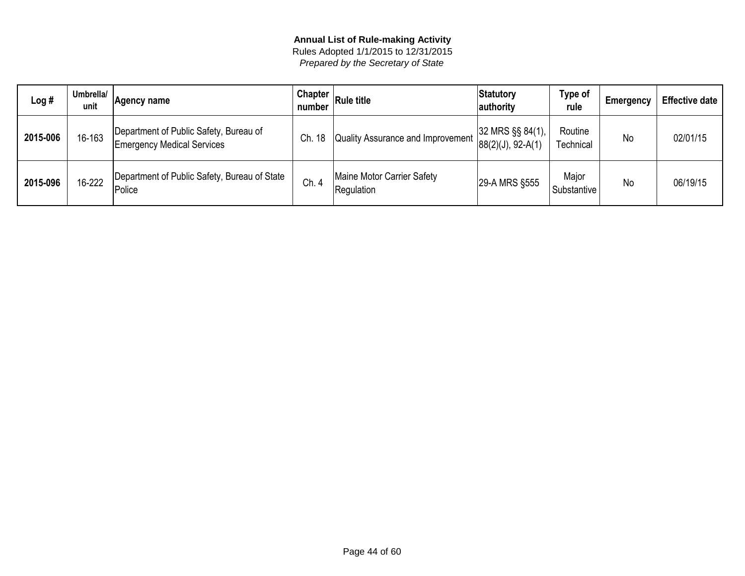| Log #    | Umbrella/<br>unit | Agency name                                                                 | Chapter<br>number | <b>Rule title</b>                        | Statutory<br>authority                           | Type of<br>rule      | Emergency | <b>Effective date</b> |
|----------|-------------------|-----------------------------------------------------------------------------|-------------------|------------------------------------------|--------------------------------------------------|----------------------|-----------|-----------------------|
| 2015-006 | 16-163            | Department of Public Safety, Bureau of<br><b>Emergency Medical Services</b> | . 18<br>Ch.       | Quality Assurance and Improvement        | $ 32$ MRS $\S$ § 84(1),<br>$ 88(2)(J), 92-A(1) $ | Routine<br>Technical | <b>No</b> | 02/01/15              |
| 2015-096 | 16-222            | Department of Public Safety, Bureau of State<br>Police                      | Ch. 4             | Maine Motor Carrier Safety<br>Regulation | 29-A MRS §555                                    | Major<br>Substantive | No        | 06/19/15              |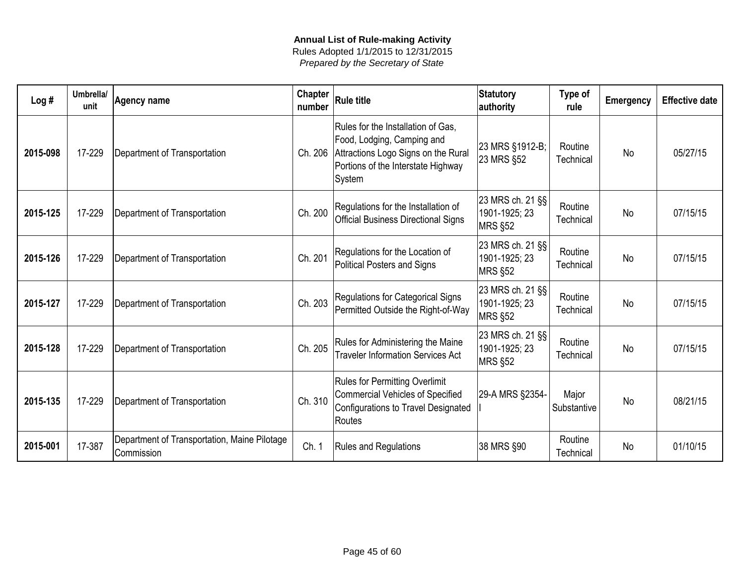| Log#     | Umbrella/<br>unit | <b>Agency name</b>                                         | Chapter<br>number | <b>Rule title</b>                                                                                                                                       | <b>Statutory</b><br>authority                       | Type of<br>rule      | <b>Emergency</b> | <b>Effective date</b> |
|----------|-------------------|------------------------------------------------------------|-------------------|---------------------------------------------------------------------------------------------------------------------------------------------------------|-----------------------------------------------------|----------------------|------------------|-----------------------|
| 2015-098 | 17-229            | Department of Transportation                               | Ch. 206           | Rules for the Installation of Gas,<br>Food, Lodging, Camping and<br>Attractions Logo Signs on the Rural<br>Portions of the Interstate Highway<br>System | 23 MRS §1912-B;<br>23 MRS §52                       | Routine<br>Technical | <b>No</b>        | 05/27/15              |
| 2015-125 | 17-229            | Department of Transportation                               | Ch. 200           | Regulations for the Installation of<br><b>Official Business Directional Signs</b>                                                                       | 23 MRS ch. 21 §§<br>1901-1925; 23<br><b>MRS §52</b> | Routine<br>Technical | <b>No</b>        | 07/15/15              |
| 2015-126 | 17-229            | Department of Transportation                               | Ch. 201           | Regulations for the Location of<br>Political Posters and Signs                                                                                          | 23 MRS ch. 21 §§<br>1901-1925; 23<br><b>MRS §52</b> | Routine<br>Technical | <b>No</b>        | 07/15/15              |
| 2015-127 | 17-229            | Department of Transportation                               | Ch. 203           | Regulations for Categorical Signs<br>Permitted Outside the Right-of-Way                                                                                 | 23 MRS ch. 21 §§<br>1901-1925; 23<br><b>MRS §52</b> | Routine<br>Technical | <b>No</b>        | 07/15/15              |
| 2015-128 | 17-229            | Department of Transportation                               | Ch. 205           | Rules for Administering the Maine<br><b>Traveler Information Services Act</b>                                                                           | 23 MRS ch. 21 §§<br>1901-1925; 23<br><b>MRS §52</b> | Routine<br>Technical | <b>No</b>        | 07/15/15              |
| 2015-135 | 17-229            | Department of Transportation                               | Ch. 310           | <b>Rules for Permitting Overlimit</b><br><b>Commercial Vehicles of Specified</b><br>Configurations to Travel Designated<br>Routes                       | 29-A MRS §2354-                                     | Major<br>Substantive | <b>No</b>        | 08/21/15              |
| 2015-001 | 17-387            | Department of Transportation, Maine Pilotage<br>Commission | Ch. 1             | <b>Rules and Regulations</b>                                                                                                                            | 38 MRS §90                                          | Routine<br>Technical | <b>No</b>        | 01/10/15              |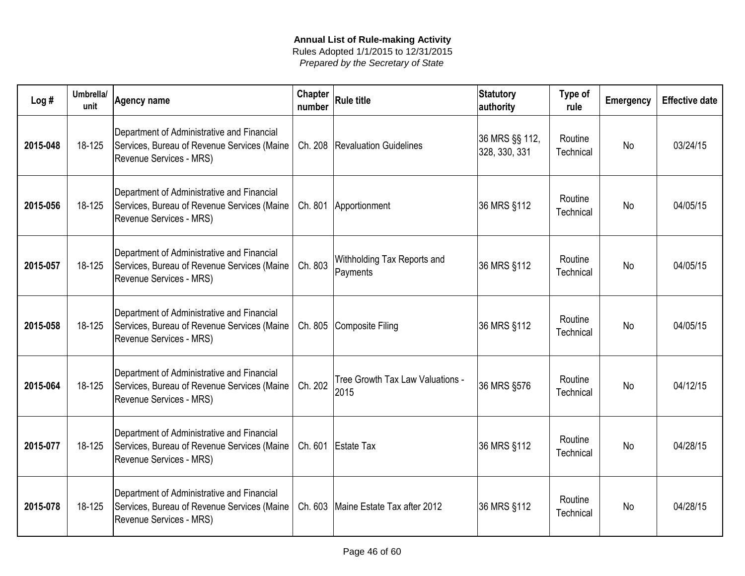| Log#     | Umbrella/<br>unit | <b>Agency name</b>                                                                                                   | Chapter<br>number | $ R$ ule title                           | <b>Statutory</b><br>authority   | Type of<br>rule      | <b>Emergency</b> | <b>Effective date</b> |
|----------|-------------------|----------------------------------------------------------------------------------------------------------------------|-------------------|------------------------------------------|---------------------------------|----------------------|------------------|-----------------------|
| 2015-048 | 18-125            | Department of Administrative and Financial<br>Services, Bureau of Revenue Services (Maine<br>Revenue Services - MRS) |                   | Ch. 208   Revaluation Guidelines         | 36 MRS §§ 112,<br>328, 330, 331 | Routine<br>Technical | <b>No</b>        | 03/24/15              |
| 2015-056 | 18-125            | Department of Administrative and Financial<br>Services, Bureau of Revenue Services (Maine<br>Revenue Services - MRS) |                   | Ch. 801 Apportionment                    | 36 MRS §112                     | Routine<br>Technical | <b>No</b>        | 04/05/15              |
| 2015-057 | 18-125            | Department of Administrative and Financial<br>Services, Bureau of Revenue Services (Maine<br>Revenue Services - MRS) | Ch. 803           | Withholding Tax Reports and<br>Payments  | 36 MRS §112                     | Routine<br>Technical | <b>No</b>        | 04/05/15              |
| 2015-058 | 18-125            | Department of Administrative and Financial<br>Services, Bureau of Revenue Services (Maine<br>Revenue Services - MRS) |                   | Ch. 805 Composite Filing                 | 36 MRS §112                     | Routine<br>Technical | <b>No</b>        | 04/05/15              |
| 2015-064 | 18-125            | Department of Administrative and Financial<br>Services, Bureau of Revenue Services (Maine<br>Revenue Services - MRS) | Ch. 202           | Tree Growth Tax Law Valuations -<br>2015 | 36 MRS §576                     | Routine<br>Technical | <b>No</b>        | 04/12/15              |
| 2015-077 | 18-125            | Department of Administrative and Financial<br>Services, Bureau of Revenue Services (Maine<br>Revenue Services - MRS) |                   | Ch. 601 Estate Tax                       | 36 MRS §112                     | Routine<br>Technical | <b>No</b>        | 04/28/15              |
| 2015-078 | 18-125            | Department of Administrative and Financial<br>Services, Bureau of Revenue Services (Maine<br>Revenue Services - MRS) |                   | Ch. 603 Maine Estate Tax after 2012      | 36 MRS §112                     | Routine<br>Technical | <b>No</b>        | 04/28/15              |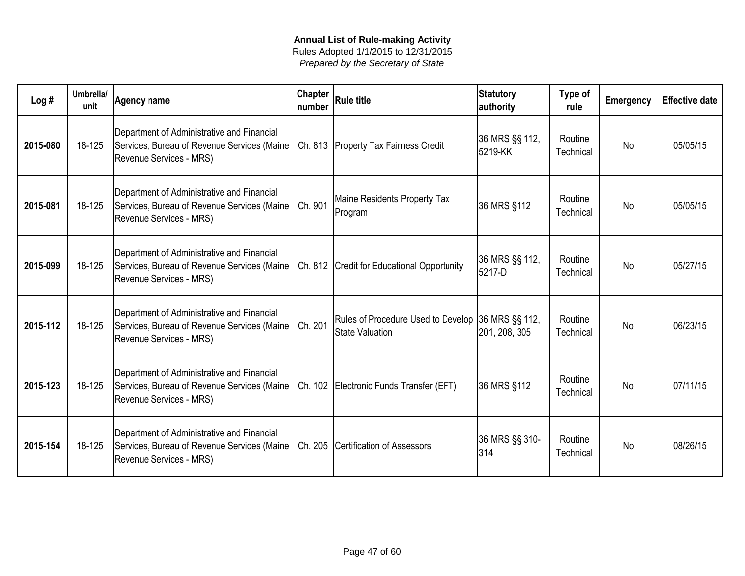| Log#     | Umbrella/<br>unit | Agency name                                                                                                          | <b>Chapter</b><br>number | <b>Rule title</b>                                                           | Statutory<br>authority    | Type of<br>rule      | <b>Emergency</b> | <b>Effective date</b> |
|----------|-------------------|----------------------------------------------------------------------------------------------------------------------|--------------------------|-----------------------------------------------------------------------------|---------------------------|----------------------|------------------|-----------------------|
| 2015-080 | 18-125            | Department of Administrative and Financial<br>Services, Bureau of Revenue Services (Maine<br>Revenue Services - MRS) |                          | Ch. 813   Property Tax Fairness Credit                                      | 36 MRS §§ 112,<br>5219-KK | Routine<br>Technical | <b>No</b>        | 05/05/15              |
| 2015-081 | 18-125            | Department of Administrative and Financial<br>Services, Bureau of Revenue Services (Maine<br>Revenue Services - MRS) | Ch. 901                  | Maine Residents Property Tax<br>Program                                     | 36 MRS §112               | Routine<br>Technical | <b>No</b>        | 05/05/15              |
| 2015-099 | 18-125            | Department of Administrative and Financial<br>Services, Bureau of Revenue Services (Maine<br>Revenue Services - MRS) |                          | Ch. 812 Credit for Educational Opportunity                                  | 36 MRS §§ 112,<br>5217-D  | Routine<br>Technical | <b>No</b>        | 05/27/15              |
| 2015-112 | 18-125            | Department of Administrative and Financial<br>Services, Bureau of Revenue Services (Maine<br>Revenue Services - MRS) | Ch. 201                  | Rules of Procedure Used to Develop 36 MRS §§ 112,<br><b>State Valuation</b> | 201, 208, 305             | Routine<br>Technical | <b>No</b>        | 06/23/15              |
| 2015-123 | 18-125            | Department of Administrative and Financial<br>Services, Bureau of Revenue Services (Maine<br>Revenue Services - MRS) |                          | Ch. 102 Electronic Funds Transfer (EFT)                                     | 36 MRS §112               | Routine<br>Technical | N <sub>o</sub>   | 07/11/15              |
| 2015-154 | 18-125            | Department of Administrative and Financial<br>Services, Bureau of Revenue Services (Maine<br>Revenue Services - MRS) |                          | Ch. 205 Certification of Assessors                                          | 36 MRS §§ 310-<br>314     | Routine<br>Technical | <b>No</b>        | 08/26/15              |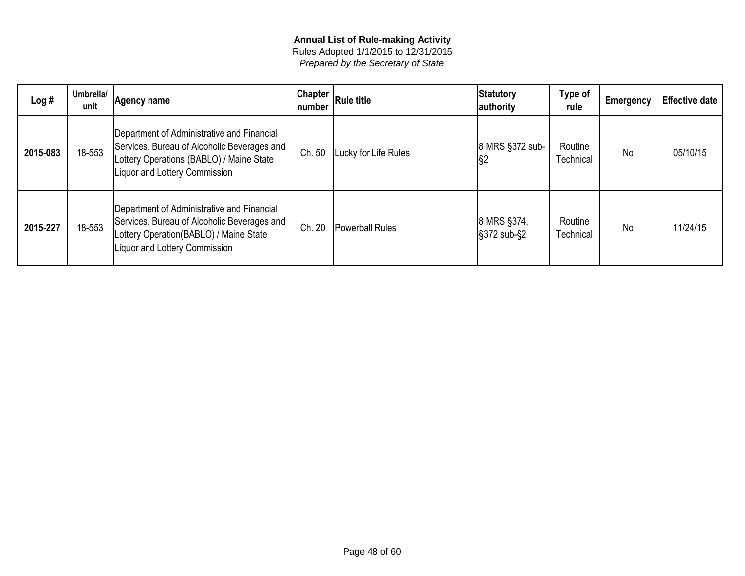| Log#     | Umbrella/<br>unit | Agency name                                                                                                                                                            | Chapter $ $<br>number | <b>Rule title</b>      | Statutory<br>authority                      | Type of<br>rule      | <b>Emergency</b> | <b>Effective date</b> |
|----------|-------------------|------------------------------------------------------------------------------------------------------------------------------------------------------------------------|-----------------------|------------------------|---------------------------------------------|----------------------|------------------|-----------------------|
| 2015-083 | 18-553            | Department of Administrative and Financial<br>Services, Bureau of Alcoholic Beverages and<br>Lottery Operations (BABLO) / Maine State<br>Liquor and Lottery Commission | Ch. 50                | Lucky for Life Rules   | 8 MRS §372 sub-<br>$\sqrt{\S2}$             | Routine<br>Technical | No               | 05/10/15              |
| 2015-227 | 18-553            | Department of Administrative and Financial<br>Services, Bureau of Alcoholic Beverages and<br>Lottery Operation(BABLO) / Maine State<br>Liquor and Lottery Commission   | Ch. 20                | <b>Powerball Rules</b> | 8 MRS §374,<br>$\frac{1}{3}372$ sub- $\S$ 2 | Routine<br>Technical | <b>No</b>        | 11/24/15              |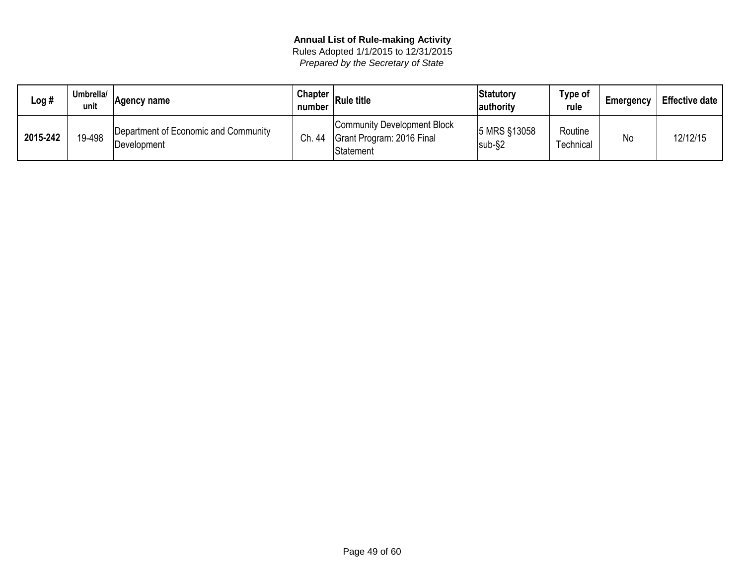| Log #    | Umbrella/<br>unit | Agency name                                         | <b>Chapter</b><br>number | <b>Rule title</b>                                                            | Statutory<br> authority | Type of<br>rule      | Emergency | <b>Effective date</b> |
|----------|-------------------|-----------------------------------------------------|--------------------------|------------------------------------------------------------------------------|-------------------------|----------------------|-----------|-----------------------|
| 2015-242 | 19-498            | Department of Economic and Community<br>Development | Ch. 44                   | <b>Community Development Block</b><br>Grant Program: 2016 Final<br>Statement | 5 MRS §13058<br>sub-§2  | Routine<br>Technical | No        | 12/12/15              |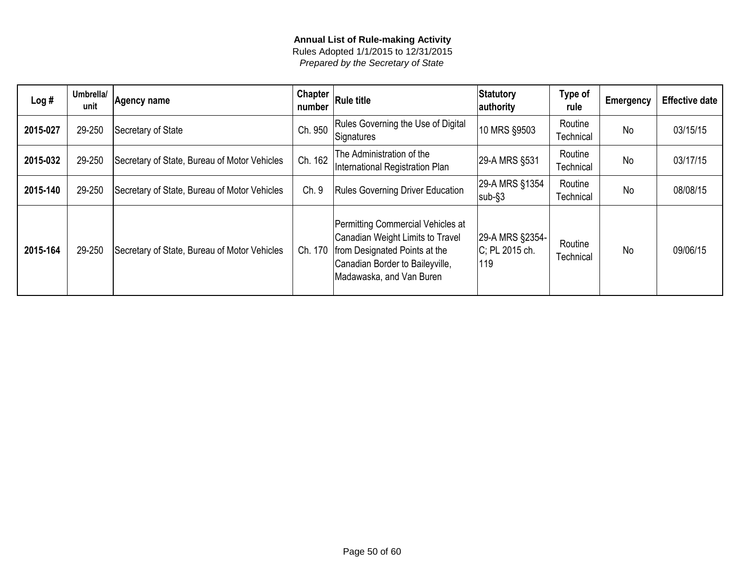| Log#     | Umbrella/<br>unit | Agency name                                  | <b>Chapter</b><br>number | <b>Rule title</b>                                                                                                                                                     | Statutory<br>authority                   | Type of<br>rule      | <b>Emergency</b> | <b>Effective date</b> |
|----------|-------------------|----------------------------------------------|--------------------------|-----------------------------------------------------------------------------------------------------------------------------------------------------------------------|------------------------------------------|----------------------|------------------|-----------------------|
| 2015-027 | 29-250            | Secretary of State                           | Ch. 950                  | Rules Governing the Use of Digital<br>Signatures                                                                                                                      | 10 MRS §9503                             | Routine<br>Technical | No               | 03/15/15              |
| 2015-032 | 29-250            | Secretary of State, Bureau of Motor Vehicles | Ch. 162                  | The Administration of the<br>International Registration Plan                                                                                                          | 29-A MRS §531                            | Routine<br>Technical | <b>No</b>        | 03/17/15              |
| 2015-140 | 29-250            | Secretary of State, Bureau of Motor Vehicles | Ch. 9                    | <b>Rules Governing Driver Education</b>                                                                                                                               | 29-A MRS §1354<br>$sub-$ §3              | Routine<br>Technical | No               | 08/08/15              |
| 2015-164 | 29-250            | Secretary of State, Bureau of Motor Vehicles | Ch. 170                  | Permitting Commercial Vehicles at<br>Canadian Weight Limits to Travel<br>from Designated Points at the<br>Canadian Border to Baileyville,<br>Madawaska, and Van Buren | 29-A MRS §2354-<br>C; PL 2015 ch.<br>119 | Routine<br>Technical | <b>No</b>        | 09/06/15              |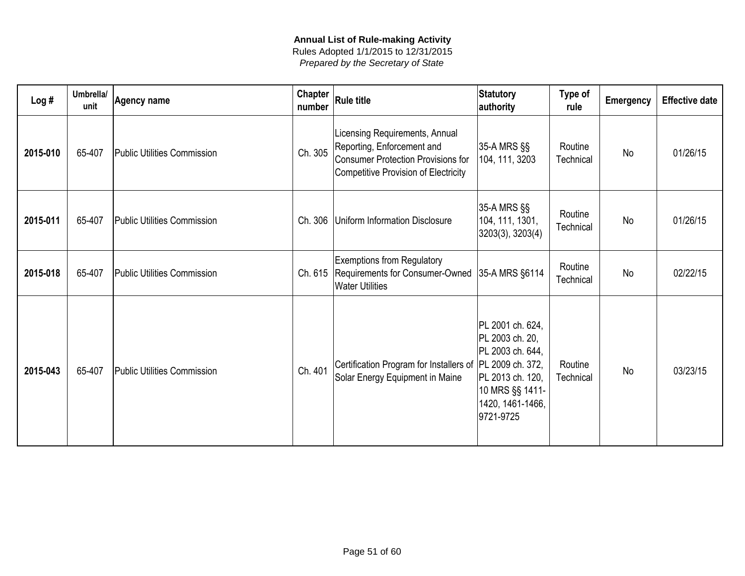| Log#     | Umbrella/<br>unit | <b>Agency name</b>                 | <b>Chapter</b><br>number | <b>Rule title</b>                                                                                                                                 | Statutory<br>authority                                                                                                          | Type of<br>rule      | Emergency | <b>Effective date</b> |
|----------|-------------------|------------------------------------|--------------------------|---------------------------------------------------------------------------------------------------------------------------------------------------|---------------------------------------------------------------------------------------------------------------------------------|----------------------|-----------|-----------------------|
| 2015-010 | 65-407            | <b>Public Utilities Commission</b> | Ch. 305                  | Licensing Requirements, Annual<br>Reporting, Enforcement and<br><b>Consumer Protection Provisions for</b><br>Competitive Provision of Electricity | 35-A MRS §§<br>104, 111, 3203                                                                                                   | Routine<br>Technical | <b>No</b> | 01/26/15              |
| 2015-011 | 65-407            | <b>Public Utilities Commission</b> | Ch. 306                  | Uniform Information Disclosure                                                                                                                    | 35-A MRS §§<br>104, 111, 1301,<br>3203(3), 3203(4)                                                                              | Routine<br>Technical | No        | 01/26/15              |
| 2015-018 | 65-407            | <b>Public Utilities Commission</b> |                          | <b>Exemptions from Regulatory</b><br>Ch. 615   Requirements for Consumer-Owned<br><b>Water Utilities</b>                                          | 35-A MRS §6114                                                                                                                  | Routine<br>Technical | No        | 02/22/15              |
| 2015-043 | 65-407            | <b>Public Utilities Commission</b> | Ch. 401                  | Certification Program for Installers of PL 2009 ch. 372,<br>Solar Energy Equipment in Maine                                                       | PL 2001 ch. 624,<br>PL 2003 ch. 20,<br>PL 2003 ch. 644,<br>PL 2013 ch. 120,<br>10 MRS §§ 1411-<br>1420, 1461-1466,<br>9721-9725 | Routine<br>Technical | No        | 03/23/15              |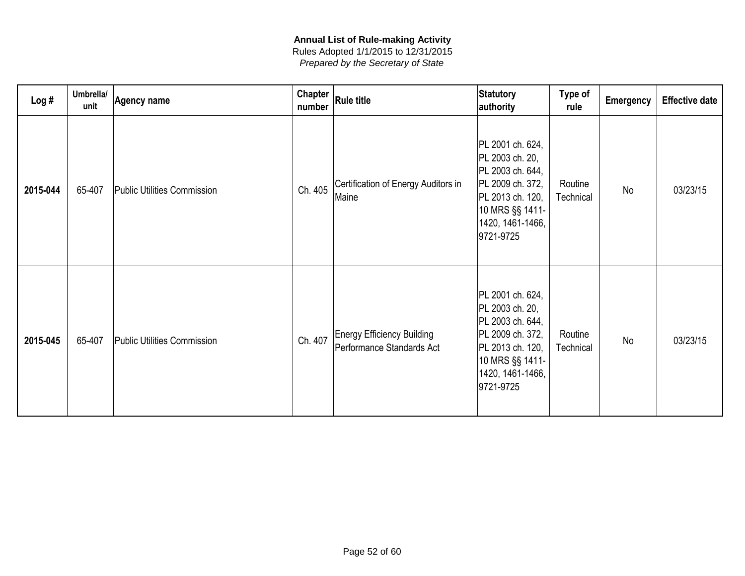| Log#     | Umbrella/<br>unit | Agency name                        | <b>Chapter</b><br>number | Rule title                                                     | Statutory<br>authority                                                                                                                              | Type of<br>rule      | <b>Emergency</b> | <b>Effective date</b> |
|----------|-------------------|------------------------------------|--------------------------|----------------------------------------------------------------|-----------------------------------------------------------------------------------------------------------------------------------------------------|----------------------|------------------|-----------------------|
| 2015-044 | 65-407            | <b>Public Utilities Commission</b> | Ch. 405                  | Certification of Energy Auditors in<br>Maine                   | PL 2001 ch. 624,<br>PL 2003 ch. 20,<br>PL 2003 ch. 644,<br>PL 2009 ch. 372,<br>PL 2013 ch. 120,<br>10 MRS §§ 1411-<br>1420, 1461-1466,<br>9721-9725 | Routine<br>Technical | <b>No</b>        | 03/23/15              |
| 2015-045 | 65-407            | <b>Public Utilities Commission</b> | Ch. 407                  | <b>Energy Efficiency Building</b><br>Performance Standards Act | PL 2001 ch. 624,<br>PL 2003 ch. 20,<br>PL 2003 ch. 644,<br>PL 2009 ch. 372,<br>PL 2013 ch. 120,<br>10 MRS §§ 1411-<br>1420, 1461-1466,<br>9721-9725 | Routine<br>Technical | <b>No</b>        | 03/23/15              |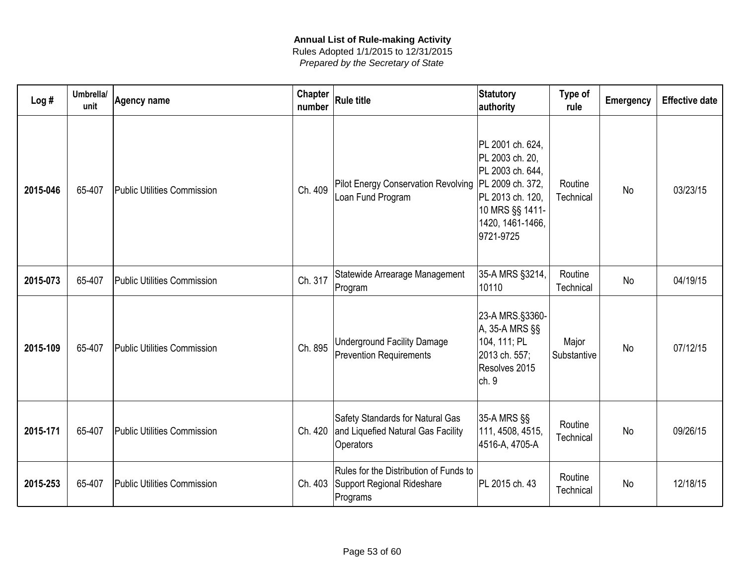| Log#     | Umbrella/<br>unit | Agency name                        | <b>Chapter</b><br>number | <b>Rule title</b>                                                                   | <b>Statutory</b><br>authority                                                                                                                       | Type of<br>rule      | Emergency | <b>Effective date</b> |
|----------|-------------------|------------------------------------|--------------------------|-------------------------------------------------------------------------------------|-----------------------------------------------------------------------------------------------------------------------------------------------------|----------------------|-----------|-----------------------|
| 2015-046 | 65-407            | <b>Public Utilities Commission</b> | Ch. 409                  | <b>Pilot Energy Conservation Revolving</b><br>Loan Fund Program                     | PL 2001 ch. 624,<br>PL 2003 ch. 20,<br>PL 2003 ch. 644,<br>PL 2009 ch. 372,<br>PL 2013 ch. 120,<br>10 MRS §§ 1411-<br>1420, 1461-1466,<br>9721-9725 | Routine<br>Technical | No        | 03/23/15              |
| 2015-073 | 65-407            | <b>Public Utilities Commission</b> | Ch. 317                  | Statewide Arrearage Management<br>Program                                           | 35-A MRS §3214,<br>10110                                                                                                                            | Routine<br>Technical | No        | 04/19/15              |
| 2015-109 | 65-407            | <b>Public Utilities Commission</b> | Ch. 895                  | <b>Underground Facility Damage</b><br><b>Prevention Requirements</b>                | 23-A MRS.§3360-<br>A, 35-A MRS §§<br>104, 111; PL<br>2013 ch. 557;<br>Resolves 2015<br>ch. 9                                                        | Major<br>Substantive | No        | 07/12/15              |
| 2015-171 | 65-407            | <b>Public Utilities Commission</b> | Ch. 420                  | Safety Standards for Natural Gas<br>and Liquefied Natural Gas Facility<br>Operators | 35-A MRS §§<br>111, 4508, 4515,<br>4516-A, 4705-A                                                                                                   | Routine<br>Technical | No        | 09/26/15              |
| 2015-253 | 65-407            | <b>Public Utilities Commission</b> | Ch. 403                  | Rules for the Distribution of Funds to<br>Support Regional Rideshare<br>Programs    | PL 2015 ch. 43                                                                                                                                      | Routine<br>Technical | No        | 12/18/15              |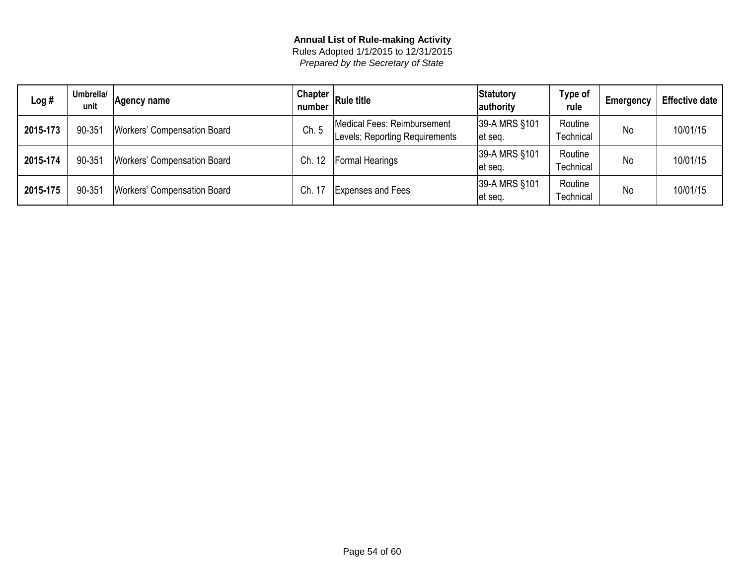| Log#     | Umbrella/<br>unit | Agency name                        | Chapter<br>number | <b>Rule title</b>                                             | Statutory<br>authority   | Type of<br>rule      | Emergency | <b>Effective date</b> |
|----------|-------------------|------------------------------------|-------------------|---------------------------------------------------------------|--------------------------|----------------------|-----------|-----------------------|
| 2015-173 | 90-351            | <b>Workers' Compensation Board</b> | Ch.5              | Medical Fees: Reimbursement<br>Levels; Reporting Requirements | 39-A MRS §101<br>et seq. | Routine<br>Technical | No        | 10/01/15              |
| 2015-174 | 90-351            | <b>Workers' Compensation Board</b> | Ch. 12            | <b>Formal Hearings</b>                                        | 39-A MRS §101<br>et seg. | Routine<br>Technical | No        | 10/01/15              |
| 2015-175 | 90-351            | <b>Workers' Compensation Board</b> | Ch.               | <b>Expenses and Fees</b>                                      | 39-A MRS §101<br>et seg. | Routine<br>Technical | No        | 10/01/15              |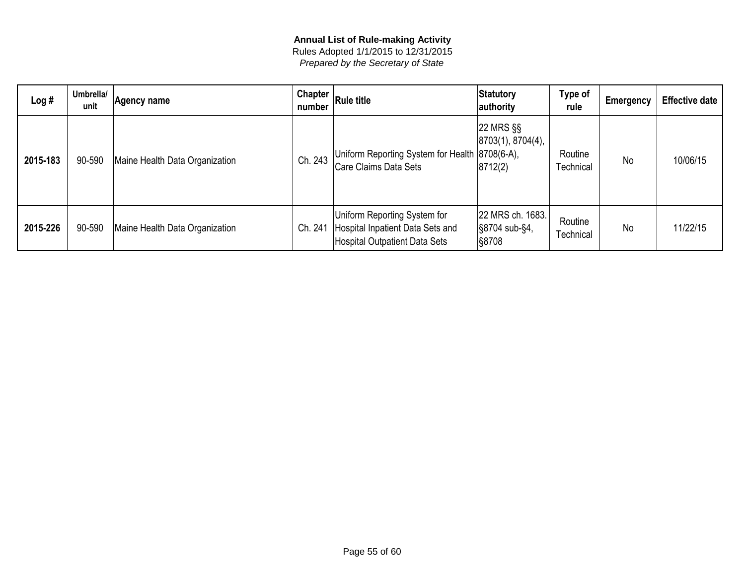| Log#     | Umbrella/<br>unit | Agency name                    | Chapter $ $<br>number | <b>Rule title</b>                                                                                 | Statutory<br>authority                            | Type of<br>rule      | Emergency | <b>Effective date</b> |
|----------|-------------------|--------------------------------|-----------------------|---------------------------------------------------------------------------------------------------|---------------------------------------------------|----------------------|-----------|-----------------------|
| 2015-183 | 90-590            | Maine Health Data Organization | Ch. 243               | Uniform Reporting System for Health 8708(6-A),<br>Care Claims Data Sets                           | 22 MRS §§<br> 8703(1), 8704(4),<br> 8712(2)       | Routine<br>Technical | No        | 10/06/15              |
| 2015-226 | 90-590            | Maine Health Data Organization | Ch. 241               | Uniform Reporting System for<br>Hospital Inpatient Data Sets and<br>Hospital Outpatient Data Sets | 22 MRS ch. 1683.<br>S8704 sub-§4,<br><b>S8708</b> | Routine<br>Technical | <b>No</b> | 11/22/15              |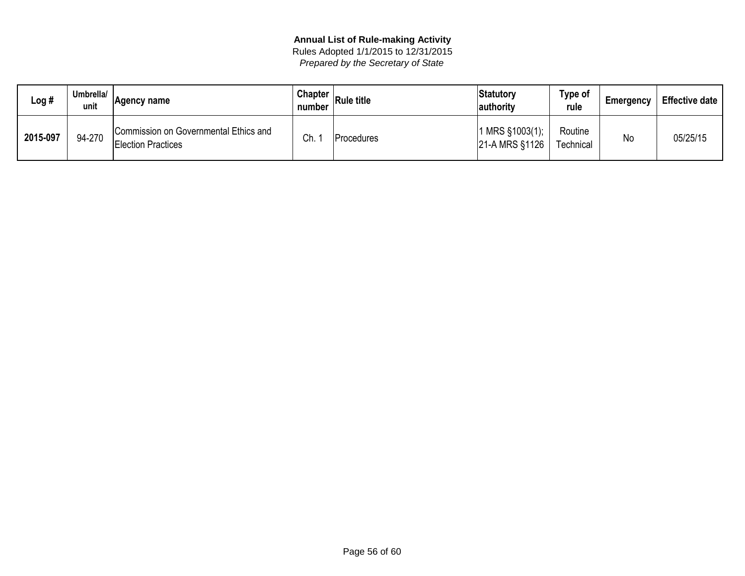| Log #    | Umbrella/<br>unit | ∣Aɑencv name                                                       | <b>Chapter</b><br>number | <b>Rule title</b>  | Statutory<br>authority          | Type of<br>rule             | Emergency | <b>Effective date</b> |
|----------|-------------------|--------------------------------------------------------------------|--------------------------|--------------------|---------------------------------|-----------------------------|-----------|-----------------------|
| 2015-097 | 94-270            | Commission on Governmental Ethics and<br><b>Election Practices</b> | Ch.                      | <b>IProcedures</b> | MRS §1003(1);<br>21-A MRS §1126 | Routine<br><b>Technical</b> | Nc        | 05/25/15              |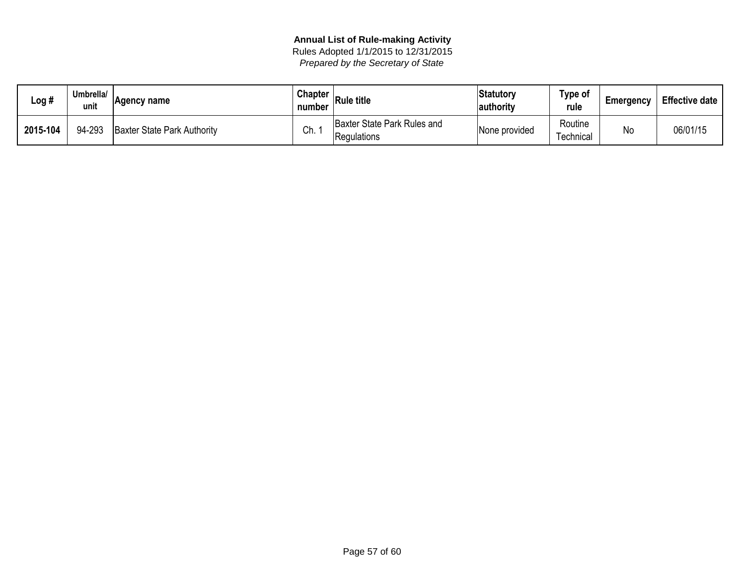| Log #    | Umbrella/<br>unit | Agency name                        | <b>Chapter</b><br>number | <b>Rule title</b>                          | Statutory<br>authority | Type of<br>rule      | <b>Emergency</b> | <b>Effective date</b> |
|----------|-------------------|------------------------------------|--------------------------|--------------------------------------------|------------------------|----------------------|------------------|-----------------------|
| 2015-104 | 94-293            | <b>Baxter State Park Authority</b> | Ch.                      | Baxter State Park Rules and<br>Regulations | None provided          | Routine<br>⊺echnical | No               | 06/01/15              |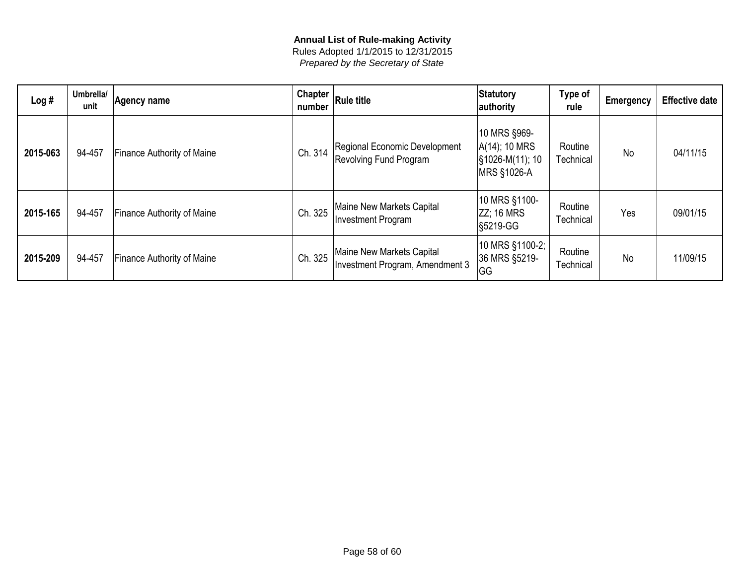| Log#     | Umbrella/<br>unit | Agency name                       | <b>Chapter</b><br>number | Rule title                                                     | Statutory<br>authority                                          | Type of<br>rule      | <b>Emergency</b> | <b>Effective date</b> |
|----------|-------------------|-----------------------------------|--------------------------|----------------------------------------------------------------|-----------------------------------------------------------------|----------------------|------------------|-----------------------|
| 2015-063 | 94-457            | <b>Finance Authority of Maine</b> | Ch. 314                  | Regional Economic Development<br><b>Revolving Fund Program</b> | 10 MRS §969-<br>A(14); 10 MRS<br>S1026-M(11); 10<br>MRS §1026-A | Routine<br>Technical | <b>No</b>        | 04/11/15              |
| 2015-165 | 94-457            | <b>Finance Authority of Maine</b> | Ch. 325                  | Maine New Markets Capital<br>Investment Program                | 10 MRS §1100-<br><b>ZZ</b> ; 16 MRS<br><b>S5219-GG</b>          | Routine<br>Technical | Yes              | 09/01/15              |
| 2015-209 | 94-457            | <b>Finance Authority of Maine</b> | Ch. 325                  | Maine New Markets Capital<br>Investment Program, Amendment 3   | 10 MRS §1100-2;<br>36 MRS §5219-<br> GG                         | Routine<br>Technical | No               | 11/09/15              |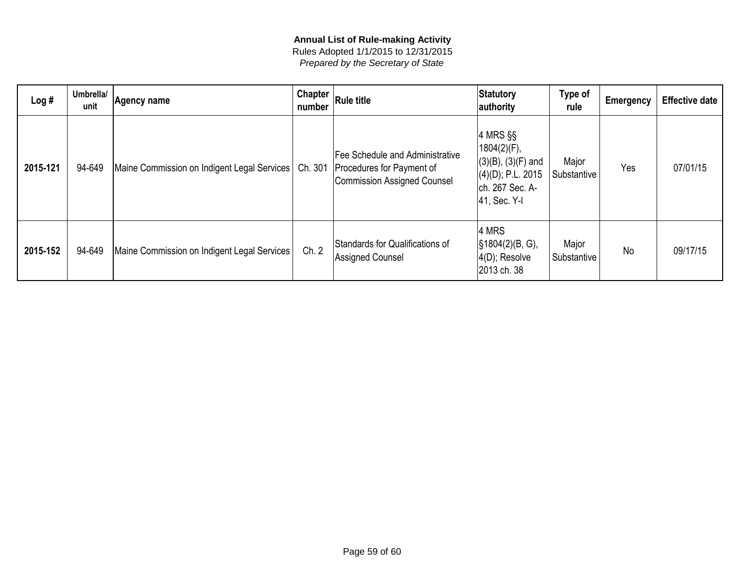| Log#     | Umbrella/<br>unit | Agency name                                 | Chapter<br>number | <b>Rule title</b>                                                                           | Statutory<br>authority                                                                                           | Type of<br>rule      | <b>Emergency</b> | <b>Effective date</b> |
|----------|-------------------|---------------------------------------------|-------------------|---------------------------------------------------------------------------------------------|------------------------------------------------------------------------------------------------------------------|----------------------|------------------|-----------------------|
| 2015-121 | 94-649            | Maine Commission on Indigent Legal Services | Ch. 301           | Fee Schedule and Administrative<br>Procedures for Payment of<br>Commission Assigned Counsel | $ 4$ MRS §§<br>1804(2)(F),<br>$(3)(B)$ , $(3)(F)$ and<br>$ (4)(D);$ P.L. 2015<br>ch. 267 Sec. A-<br>41, Sec. Y-I | Major<br>Substantive | Yes              | 07/01/15              |
| 2015-152 | 94-649            | Maine Commission on Indigent Legal Services | Ch. 2             | Standards for Qualifications of<br>Assigned Counsel                                         | 4 MRS<br>$\sqrt{\$1804(2)(B, G)}$ ,<br>$ 4(D)$ ; Resolve<br>2013 ch. 38                                          | Major<br>Substantive | <b>No</b>        | 09/17/15              |